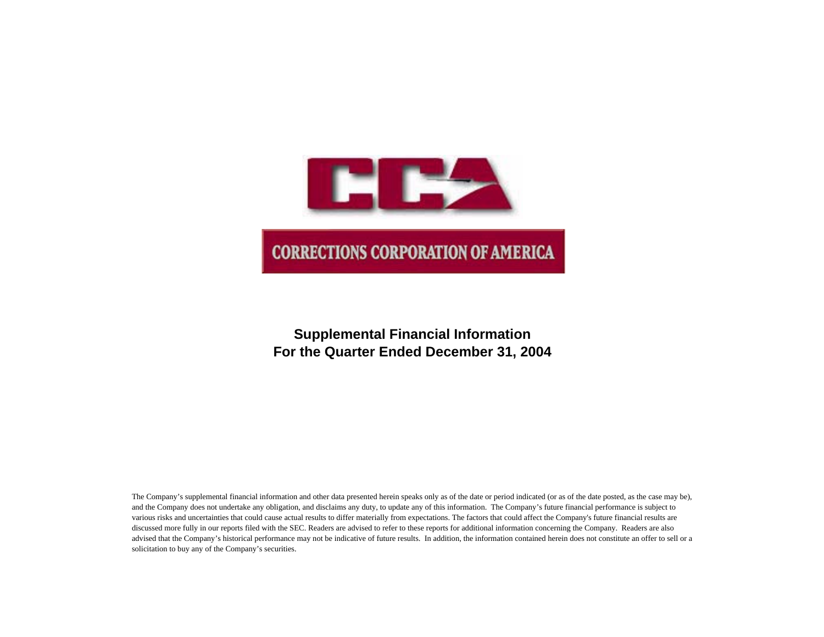

# **Supplemental Financial Information For the Quarter Ended December 31, 2004**

The Company's supplemental financial information and other data presented herein speaks only as of the date or period indicated (or as of the date posted, as the case may be), and the Company does not undertake any obligation, and disclaims any duty, to update any of this information. The Company's future financial performance is subject to various risks and uncertainties that could cause actual results to differ materially from expectations. The factors that could affect the Company's future financial results are discussed more fully in our reports filed with the SEC. Readers are advised to refer to these reports for additional information concerning the Company. Readers are also advised that the Company's historical performance may not be indicative of future results. In addition, the information contained herein does not constitute an offer to sell or a solicitation to buy any of the Company's securities.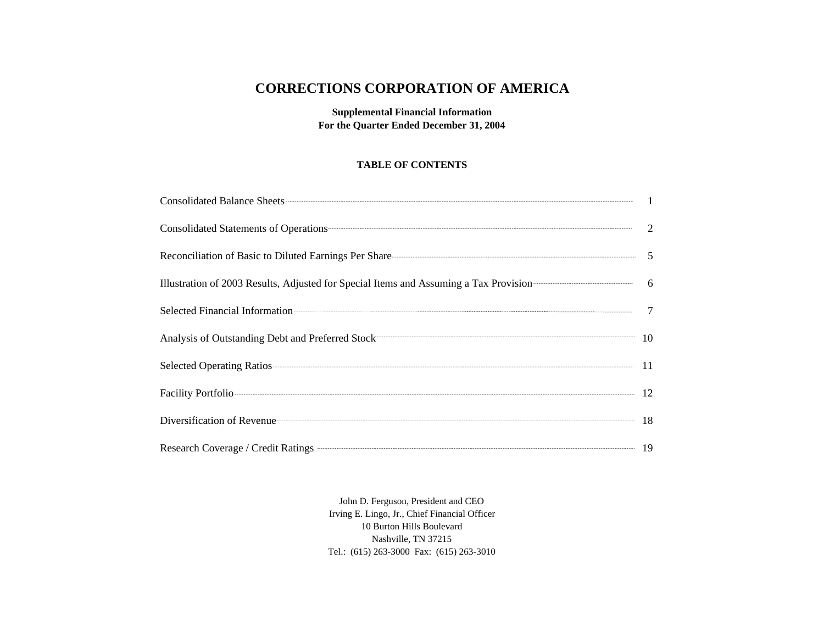# **CORRECTIONS CORPORATION OF AMERICA**

**Supplemental Financial Information For the Quarter Ended December 31, 2004**

#### **TABLE OF CONTENTS**

| Consolidated Balance Sheets <b>Consolidated</b> Balance Sheets <b>Consolidated</b> Balance Sheets <b>Consolidated</b> Balance Sheets <b>Consolidated</b> Balance Sheets <b>Consolidated</b> Balance Sheets <b>Consolidated</b> Balance Sheets <b>Consolidated</b> |  |
|-------------------------------------------------------------------------------------------------------------------------------------------------------------------------------------------------------------------------------------------------------------------|--|
| Consolidated Statements of Operations 22                                                                                                                                                                                                                          |  |
| Reconciliation of Basic to Diluted Earnings Per Share———————————————————————————5                                                                                                                                                                                 |  |
| Illustration of 2003 Results, Adjusted for Special Items and Assuming a Tax Provision (664)                                                                                                                                                                       |  |
| Selected Financial Information 7                                                                                                                                                                                                                                  |  |
| Analysis of Outstanding Debt and Preferred Stock 10                                                                                                                                                                                                               |  |
|                                                                                                                                                                                                                                                                   |  |
| Facility Portfolio 22 12                                                                                                                                                                                                                                          |  |
| Diversification of Revenue 18                                                                                                                                                                                                                                     |  |
| Research Coverage / Credit Ratings <b>Communities</b> 19                                                                                                                                                                                                          |  |

John D. Ferguson, President and CEO Irving E. Lingo, Jr., Chief Financial Officer 10 Burton Hills Boulevard Nashville, TN 37215 Tel.: (615) 263-3000 Fax: (615) 263-3010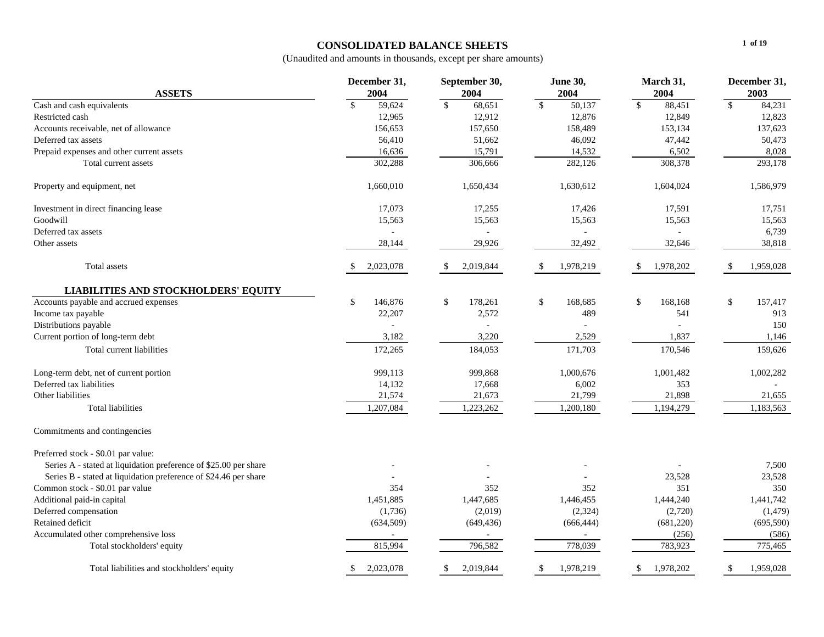### **CONSOLIDATED BALANCE SHEETS**

|                                                                  | December 31,    | September 30,                      | <b>June 30,</b>         | March 31,       | December 31,            |
|------------------------------------------------------------------|-----------------|------------------------------------|-------------------------|-----------------|-------------------------|
| <b>ASSETS</b>                                                    | 2004            | 2004                               | 2004                    | 2004            | 2003                    |
| Cash and cash equivalents                                        | \$<br>59,624    | $\overline{\mathcal{S}}$<br>68,651 | $\mathcal{S}$<br>50,137 | \$<br>88,451    | $\frac{1}{2}$<br>84,231 |
| Restricted cash                                                  | 12,965          | 12,912                             | 12,876                  | 12,849          | 12,823                  |
| Accounts receivable, net of allowance                            | 156,653         | 157,650                            | 158,489                 | 153,134         | 137,623                 |
| Deferred tax assets                                              | 56,410          | 51,662                             | 46,092                  | 47,442          | 50,473                  |
| Prepaid expenses and other current assets                        | 16,636          | 15,791                             | 14,532                  | 6,502           | 8,028                   |
| Total current assets                                             | 302,288         | 306,666                            | 282,126                 | 308,378         | 293,178                 |
| Property and equipment, net                                      | 1,660,010       | 1,650,434                          | 1,630,612               | 1,604,024       | 1,586,979               |
| Investment in direct financing lease                             | 17,073          | 17,255                             | 17,426                  | 17,591          | 17,751                  |
| Goodwill                                                         | 15,563          | 15,563                             | 15,563                  | 15,563          | 15,563                  |
| Deferred tax assets                                              |                 |                                    |                         |                 | 6,739                   |
| Other assets                                                     | 28,144          | 29,926                             | 32,492                  | 32,646          | 38,818                  |
| Total assets                                                     | 2,023,078       | 2,019,844<br>\$                    | 1,978,219               | 1,978,202       | 1,959,028<br>- \$       |
| <b>LIABILITIES AND STOCKHOLDERS' EQUITY</b>                      |                 |                                    |                         |                 |                         |
| Accounts payable and accrued expenses                            | \$<br>146,876   | \$<br>178,261                      | \$<br>168,685           | 168,168<br>\$   | \$<br>157,417           |
| Income tax payable                                               | 22,207          | 2,572                              | 489                     | 541             | 913                     |
| Distributions payable                                            |                 |                                    |                         |                 | 150                     |
| Current portion of long-term debt                                | 3,182           | 3,220                              | 2,529                   | 1,837           | 1,146                   |
| Total current liabilities                                        | 172,265         | 184,053                            | 171,703                 | 170,546         | 159,626                 |
| Long-term debt, net of current portion                           | 999,113         | 999,868                            | 1,000,676               | 1,001,482       | 1,002,282               |
| Deferred tax liabilities                                         | 14,132          | 17,668                             | 6,002                   | 353             |                         |
| Other liabilities                                                | 21,574          | 21,673                             | 21,799                  | 21,898          | 21,655                  |
| <b>Total liabilities</b>                                         | 1,207,084       | 1,223,262                          | 1,200,180               | 1,194,279       | 1,183,563               |
| Commitments and contingencies                                    |                 |                                    |                         |                 |                         |
| Preferred stock - \$0.01 par value:                              |                 |                                    |                         |                 |                         |
| Series A - stated at liquidation preference of \$25.00 per share |                 |                                    |                         |                 | 7,500                   |
| Series B - stated at liquidation preference of \$24.46 per share |                 |                                    |                         | 23,528          | 23,528                  |
| Common stock - \$0.01 par value                                  | 354             | 352                                | 352                     | 351             | 350                     |
| Additional paid-in capital                                       | 1,451,885       | 1,447,685                          | 1,446,455               | 1,444,240       | 1,441,742               |
| Deferred compensation                                            | (1,736)         | (2,019)                            | (2, 324)                | (2,720)         | (1, 479)                |
| Retained deficit                                                 | (634, 509)      | (649, 436)                         | (666, 444)              | (681, 220)      | (695, 590)              |
| Accumulated other comprehensive loss                             |                 |                                    |                         | (256)           | (586)                   |
| Total stockholders' equity                                       | 815,994         | 796,582                            | 778,039                 | 783,923         | 775,465                 |
| Total liabilities and stockholders' equity                       | 2,023,078<br>S. | 2,019,844<br><sup>\$</sup>         | 1,978,219<br>\$         | 1,978,202<br>S. | 1,959,028<br>\$         |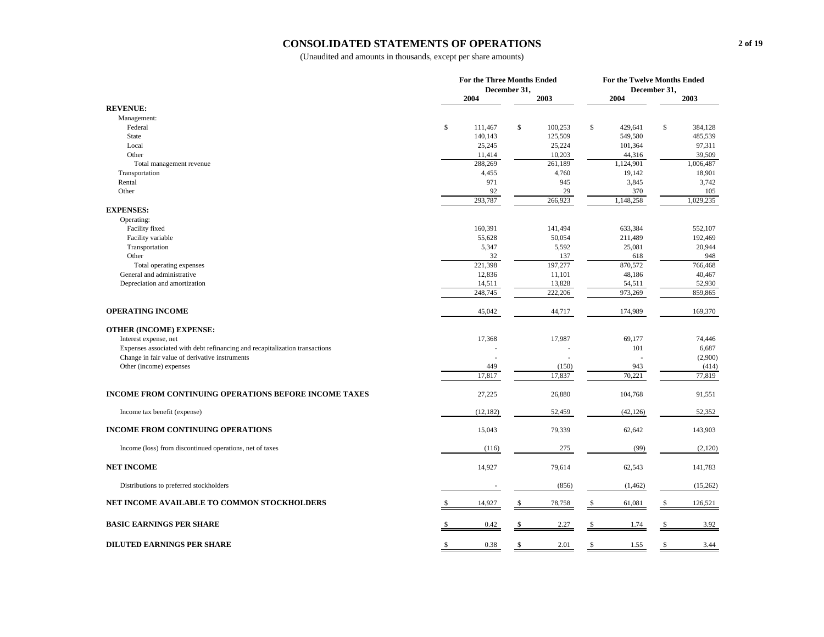#### **CONSOLIDATED STATEMENTS OF OPERATIONS**

|                                                                             |               | <b>For the Three Months Ended</b> | For the Twelve Months Ended |               |  |  |
|-----------------------------------------------------------------------------|---------------|-----------------------------------|-----------------------------|---------------|--|--|
|                                                                             |               | December 31,                      | December 31,                |               |  |  |
|                                                                             | 2004          | 2003                              | 2004                        | 2003          |  |  |
| <b>REVENUE:</b>                                                             |               |                                   |                             |               |  |  |
| Management:                                                                 |               |                                   |                             |               |  |  |
| Federal                                                                     | \$<br>111,467 | \$<br>100,253                     | $\mathbb{S}$<br>429,641     | \$<br>384,128 |  |  |
| <b>State</b>                                                                | 140,143       | 125,509                           | 549,580                     | 485,539       |  |  |
| Local                                                                       | 25,245        | 25,224                            | 101,364                     | 97,311        |  |  |
| Other                                                                       | 11,414        | 10,203                            | 44,316                      | 39,509        |  |  |
| Total management revenue                                                    | 288,269       | 261,189                           | 1,124,901                   | 1,006,487     |  |  |
| Transportation                                                              | 4,455<br>971  | 4,760<br>945                      | 19,142                      | 18,901        |  |  |
| Rental<br>Other                                                             | 92            | 29                                | 3,845<br>370                | 3,742<br>105  |  |  |
|                                                                             | 293,787       | 266,923                           | 1,148,258                   | 1,029,235     |  |  |
| <b>EXPENSES:</b>                                                            |               |                                   |                             |               |  |  |
| Operating:                                                                  |               |                                   |                             |               |  |  |
| Facility fixed                                                              | 160,391       | 141,494                           | 633,384                     | 552,107       |  |  |
| Facility variable                                                           | 55,628        | 50,054                            | 211,489                     | 192,469       |  |  |
| Transportation                                                              | 5,347         | 5,592                             | 25,081                      | 20,944        |  |  |
| Other                                                                       | 32            | 137                               | 618                         | 948           |  |  |
| Total operating expenses                                                    | 221,398       | 197,277                           | 870,572                     | 766,468       |  |  |
| General and administrative                                                  | 12,836        | 11,101                            | 48,186                      | 40,467        |  |  |
| Depreciation and amortization                                               | 14,511        | 13,828                            | 54,511                      | 52,930        |  |  |
|                                                                             | 248,745       | 222,206                           | 973,269                     | 859,865       |  |  |
| <b>OPERATING INCOME</b>                                                     | 45,042        | 44,717                            | 174,989                     | 169,370       |  |  |
| <b>OTHER (INCOME) EXPENSE:</b>                                              |               |                                   |                             |               |  |  |
| Interest expense, net                                                       | 17,368        | 17,987                            | 69,177                      | 74,446        |  |  |
| Expenses associated with debt refinancing and recapitalization transactions |               |                                   | 101                         | 6,687         |  |  |
| Change in fair value of derivative instruments                              | ä,            |                                   |                             | (2,900)       |  |  |
| Other (income) expenses                                                     | 449           | (150)                             | 943                         | (414)         |  |  |
|                                                                             | 17,817        | 17,837                            | 70,221                      | 77,819        |  |  |
| <b>INCOME FROM CONTINUING OPERATIONS BEFORE INCOME TAXES</b>                | 27,225        | 26,880                            | 104,768                     | 91,551        |  |  |
| Income tax benefit (expense)                                                | (12, 182)     | 52,459                            | (42, 126)                   | 52,352        |  |  |
| <b>INCOME FROM CONTINUING OPERATIONS</b>                                    | 15,043        | 79,339                            | 62,642                      | 143,903       |  |  |
| Income (loss) from discontinued operations, net of taxes                    | (116)         | 275                               | (99)                        | (2,120)       |  |  |
| <b>NET INCOME</b>                                                           | 14,927        | 79,614                            | 62,543                      | 141,783       |  |  |
| Distributions to preferred stockholders                                     |               | (856)                             | (1, 462)                    | (15,262)      |  |  |
| NET INCOME AVAILABLE TO COMMON STOCKHOLDERS                                 | 14,927        | 78,758<br>\$                      | 61,081<br>S                 | 126,521<br>\$ |  |  |
| <b>BASIC EARNINGS PER SHARE</b>                                             | 0.42          | 2.27<br>\$                        | 1.74                        | \$<br>3.92    |  |  |
|                                                                             |               |                                   |                             |               |  |  |
| <b>DILUTED EARNINGS PER SHARE</b>                                           | 0.38<br>S     | 2.01<br>\$                        | 1.55<br>S                   | \$<br>3.44    |  |  |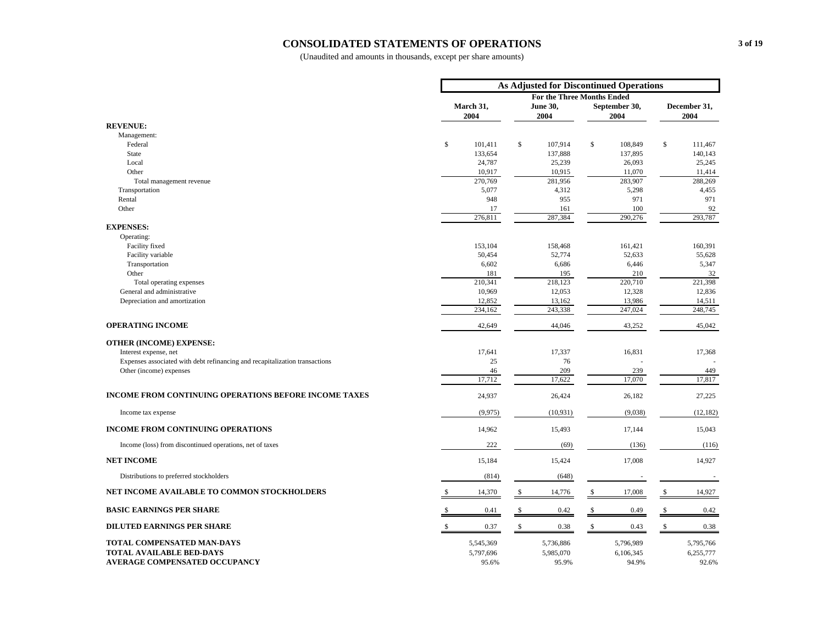#### **CONSOLIDATED STATEMENTS OF OPERATIONS**

|                                                                             |                   | As Adjusted for Discontinued Operations |                                   |                       |
|-----------------------------------------------------------------------------|-------------------|-----------------------------------------|-----------------------------------|-----------------------|
|                                                                             |                   |                                         | <b>For the Three Months Ended</b> |                       |
|                                                                             | March 31,<br>2004 | June 30,<br>2004                        | September 30,<br>2004             | December 31,<br>2004  |
| <b>REVENUE:</b>                                                             |                   |                                         |                                   |                       |
| Management:                                                                 |                   |                                         |                                   |                       |
| Federal                                                                     | \$<br>101,411     | \$<br>107,914                           | \$<br>108,849                     | \$<br>111,467         |
| <b>State</b>                                                                | 133,654           | 137,888                                 | 137,895                           | 140,143               |
| Local                                                                       | 24,787            | 25,239                                  | 26,093                            | 25,245                |
| Other                                                                       | 10,917            | 10,915                                  | 11,070                            | 11,414                |
| Total management revenue<br>Transportation                                  | 270,769<br>5,077  | 281,956<br>4,312                        | 283,907<br>5,298                  | 288,269<br>4,455      |
| Rental                                                                      | 948               | 955                                     | 971                               | 971                   |
| Other                                                                       | 17                | 161                                     | 100                               | 92                    |
|                                                                             | 276,811           | 287,384                                 | 290,276                           | 293,787               |
| <b>EXPENSES:</b>                                                            |                   |                                         |                                   |                       |
| Operating:                                                                  |                   |                                         |                                   |                       |
| Facility fixed                                                              | 153,104           | 158,468                                 | 161,421                           | 160,391               |
| Facility variable                                                           | 50,454            | 52,774                                  | 52,633                            | 55,628                |
| Transportation                                                              | 6,602             | 6,686                                   | 6,446                             | 5,347                 |
| Other                                                                       | 181               | 195                                     | 210                               | 32                    |
| Total operating expenses                                                    | 210,341           | 218,123                                 | 220,710                           | 221,398               |
| General and administrative                                                  | 10,969            | 12,053                                  | 12,328                            | 12,836                |
| Depreciation and amortization                                               | 12,852            | 13,162                                  | 13,986                            | 14,511                |
|                                                                             | 234,162           | 243,338                                 | 247,024                           | 248,745               |
| <b>OPERATING INCOME</b>                                                     | 42,649            | 44,046                                  | 43,252                            | 45,042                |
| <b>OTHER (INCOME) EXPENSE:</b>                                              |                   |                                         |                                   |                       |
| Interest expense, net                                                       | 17,641            | 17,337                                  | 16,831                            | 17,368                |
| Expenses associated with debt refinancing and recapitalization transactions | 25                | 76                                      |                                   |                       |
| Other (income) expenses                                                     | 46                | 209                                     | 239                               | 449                   |
|                                                                             | 17,712            | 17,622                                  | 17,070                            | 17,817                |
| <b>INCOME FROM CONTINUING OPERATIONS BEFORE INCOME TAXES</b>                | 24,937            | 26,424                                  | 26,182                            | 27,225                |
| Income tax expense                                                          | (9,975)           | (10,931)                                | (9,038)                           | (12, 182)             |
| <b>INCOME FROM CONTINUING OPERATIONS</b>                                    | 14,962            | 15,493                                  | 17,144                            | 15,043                |
| Income (loss) from discontinued operations, net of taxes                    | 222               | (69)                                    | (136)                             | (116)                 |
| <b>NET INCOME</b>                                                           | 15,184            | 15,424                                  | 17,008                            | 14,927                |
| Distributions to preferred stockholders                                     | (814)             | (648)                                   |                                   |                       |
| NET INCOME AVAILABLE TO COMMON STOCKHOLDERS                                 | 14,370<br>S       | $\frac{1}{2}$<br>14,776                 | 17,008<br>S                       | \$<br>14,927          |
| <b>BASIC EARNINGS PER SHARE</b>                                             | 0.41              | 0.42<br>S                               | 0.49<br>S                         | 0.42                  |
| <b>DILUTED EARNINGS PER SHARE</b>                                           | 0.37              | $\mathbf S$<br>0.38                     | $\mathbf S$<br>0.43               | $\mathcal{S}$<br>0.38 |
| TOTAL COMPENSATED MAN-DAYS                                                  | 5,545,369         | 5,736,886                               | 5,796,989                         | 5,795,766             |
| <b>TOTAL AVAILABLE BED-DAYS</b>                                             | 5,797,696         | 5,985,070                               | 6,106,345                         | 6,255,777             |
| <b>AVERAGE COMPENSATED OCCUPANCY</b>                                        | 95.6%             | 95.9%                                   | 94.9%                             | 92.6%                 |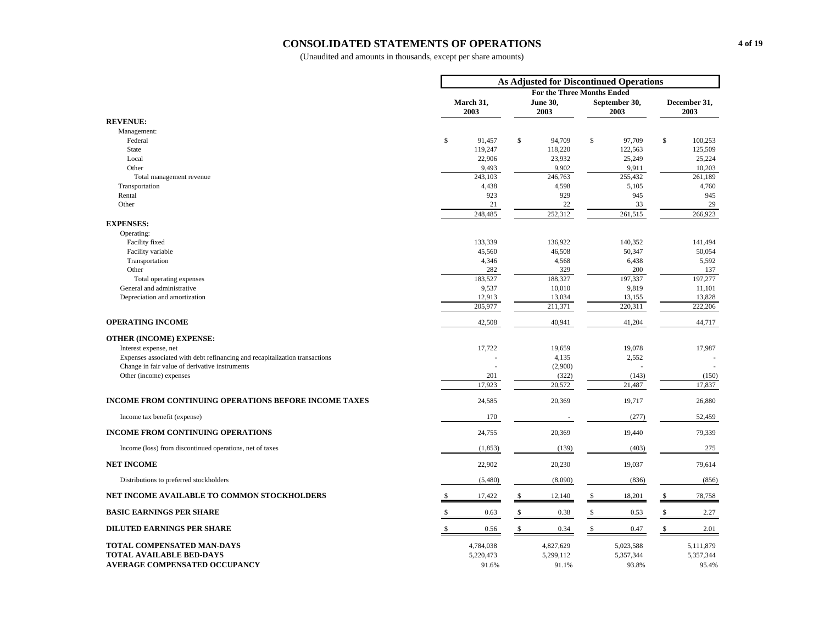#### **CONSOLIDATED STATEMENTS OF OPERATIONS**

|                                                                             |                        | As Adjusted for Discontinued Operations |                            |                      |
|-----------------------------------------------------------------------------|------------------------|-----------------------------------------|----------------------------|----------------------|
|                                                                             |                        |                                         | For the Three Months Ended |                      |
|                                                                             | March 31,<br>2003      | <b>June 30,</b><br>2003                 | September 30,<br>2003      | December 31,<br>2003 |
| <b>REVENUE:</b>                                                             |                        |                                         |                            |                      |
| Management:                                                                 |                        |                                         |                            |                      |
| Federal                                                                     | $\mathbb{S}$<br>91,457 | \$<br>94,709                            | \$<br>97,709               | \$<br>100,253        |
| <b>State</b>                                                                | 119,247                | 118,220                                 | 122,563                    | 125,509              |
| Local                                                                       | 22,906                 | 23,932                                  | 25,249                     | 25,224               |
| Other<br>Total management revenue                                           | 9,493<br>243,103       | 9,902<br>246,763                        | 9,911<br>255,432           | 10,203<br>261,189    |
| Transportation                                                              | 4,438                  | 4,598                                   | 5,105                      | 4,760                |
| Rental                                                                      | 923                    | 929                                     | 945                        | 945                  |
| Other                                                                       | 21                     | 22                                      | 33                         | 29                   |
|                                                                             | 248,485                | 252,312                                 | 261,515                    | 266,923              |
| <b>EXPENSES:</b>                                                            |                        |                                         |                            |                      |
| Operating:                                                                  |                        |                                         |                            |                      |
| Facility fixed                                                              | 133,339                | 136,922                                 | 140,352                    | 141,494              |
| Facility variable                                                           | 45,560                 | 46,508                                  | 50,347                     | 50,054               |
| Transportation<br>Other                                                     | 4,346<br>282           | 4,568<br>329                            | 6,438<br>200               | 5,592<br>137         |
| Total operating expenses                                                    | 183,527                | 188,327                                 | 197,337                    | 197,277              |
| General and administrative                                                  | 9,537                  | 10,010                                  | 9,819                      | 11,101               |
| Depreciation and amortization                                               | 12,913                 | 13,034                                  | 13,155                     | 13,828               |
|                                                                             | 205,977                | 211,371                                 | 220,311                    | 222,206              |
| <b>OPERATING INCOME</b>                                                     | 42,508                 | 40,941                                  | 41,204                     | 44,717               |
| <b>OTHER (INCOME) EXPENSE:</b>                                              |                        |                                         |                            |                      |
| Interest expense, net                                                       | 17,722                 | 19,659                                  | 19,078                     | 17,987               |
| Expenses associated with debt refinancing and recapitalization transactions |                        | 4,135                                   | 2,552                      |                      |
| Change in fair value of derivative instruments                              |                        | (2,900)                                 |                            |                      |
| Other (income) expenses                                                     | 201                    | (322)                                   | (143)                      | (150)                |
|                                                                             | 17,923                 | 20,572                                  | 21,487                     | 17,837               |
| <b>INCOME FROM CONTINUING OPERATIONS BEFORE INCOME TAXES</b>                | 24,585                 | 20,369                                  | 19,717                     | 26,880               |
| Income tax benefit (expense)                                                | 170                    |                                         | (277)                      | 52,459               |
| <b>INCOME FROM CONTINUING OPERATIONS</b>                                    | 24,755                 | 20,369                                  | 19,440                     | 79,339               |
| Income (loss) from discontinued operations, net of taxes                    | (1, 853)               | (139)                                   | (403)                      | 275                  |
| <b>NET INCOME</b>                                                           | 22,902                 | 20,230                                  | 19,037                     | 79,614               |
| Distributions to preferred stockholders                                     | (5,480)                | (8,090)                                 | (836)                      | (856)                |
| NET INCOME AVAILABLE TO COMMON STOCKHOLDERS                                 | 17,422                 | \$<br>12,140                            | 18,201<br>S                | \$<br>78,758         |
| <b>BASIC EARNINGS PER SHARE</b>                                             | 0.63                   | \$<br>0.38                              | \$<br>0.53                 | 2.27<br>S            |
| <b>DILUTED EARNINGS PER SHARE</b>                                           | S<br>0.56              | $\mathbb{S}$<br>0.34                    | $\mathbb{S}$<br>0.47       | $\mathbb S$<br>2.01  |
| <b>TOTAL COMPENSATED MAN-DAYS</b>                                           | 4,784,038              | 4,827,629                               | 5,023,588                  | 5,111,879            |
| <b>TOTAL AVAILABLE BED-DAYS</b>                                             | 5,220,473              | 5,299,112                               | 5,357,344                  | 5,357,344            |
| <b>AVERAGE COMPENSATED OCCUPANCY</b>                                        | 91.6%                  | 91.1%                                   | 93.8%                      | 95.4%                |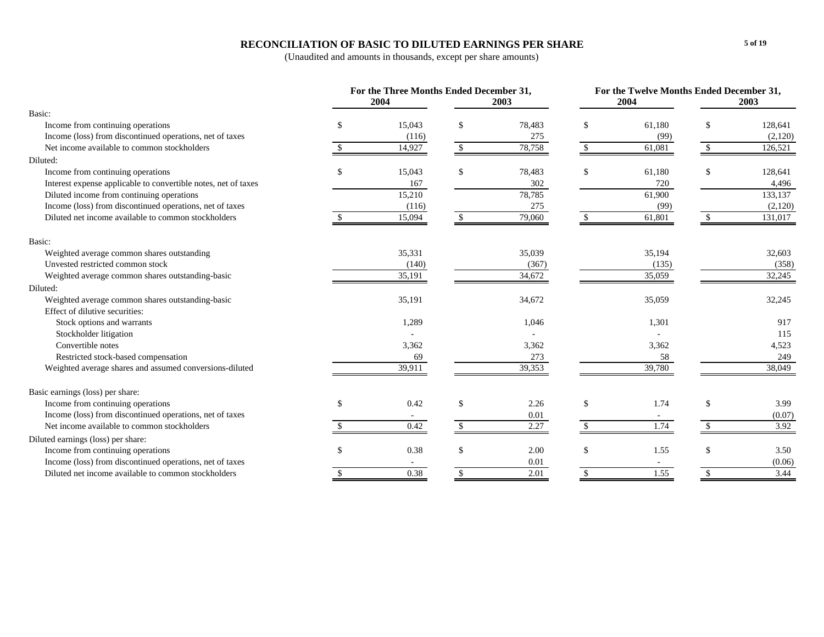### **RECONCILIATION OF BASIC TO DILUTED EARNINGS PER SHARE**

|                                                                | For the Three Months Ended December 31, |                    |        | For the Twelve Months Ended December 31, |        |                    |         |  |
|----------------------------------------------------------------|-----------------------------------------|--------------------|--------|------------------------------------------|--------|--------------------|---------|--|
|                                                                | 2004                                    |                    | 2003   |                                          | 2004   |                    | 2003    |  |
| Basic:                                                         |                                         |                    |        |                                          |        |                    |         |  |
| Income from continuing operations                              | 15,043                                  | \$                 | 78,483 | -S                                       | 61,180 | \$                 | 128,641 |  |
| Income (loss) from discontinued operations, net of taxes       | (116)                                   |                    | 275    |                                          | (99)   |                    | (2,120) |  |
| Net income available to common stockholders                    | 14,927                                  | $\mathbb{S}$       | 78,758 | \$                                       | 61,081 | \$                 | 126,521 |  |
| Diluted:                                                       |                                         |                    |        |                                          |        |                    |         |  |
| Income from continuing operations                              | 15,043                                  | \$                 | 78,483 | -S                                       | 61,180 | <sup>\$</sup>      | 128,641 |  |
| Interest expense applicable to convertible notes, net of taxes | 167                                     |                    | 302    |                                          | 720    |                    | 4,496   |  |
| Diluted income from continuing operations                      | 15,210                                  |                    | 78,785 |                                          | 61,900 |                    | 133,137 |  |
| Income (loss) from discontinued operations, net of taxes       | (116)                                   |                    | 275    |                                          | (99)   |                    | (2,120) |  |
| Diluted net income available to common stockholders            | 15,094                                  |                    | 79,060 |                                          | 61,801 |                    | 131,017 |  |
| Basic:                                                         |                                         |                    |        |                                          |        |                    |         |  |
| Weighted average common shares outstanding                     | 35,331                                  |                    | 35,039 |                                          | 35,194 |                    | 32,603  |  |
| Unvested restricted common stock                               | (140)                                   |                    | (367)  |                                          | (135)  |                    | (358)   |  |
| Weighted average common shares outstanding-basic               | 35,191                                  |                    | 34,672 |                                          | 35,059 |                    | 32,245  |  |
| Diluted:                                                       |                                         |                    |        |                                          |        |                    |         |  |
| Weighted average common shares outstanding-basic               | 35,191                                  |                    | 34,672 |                                          | 35,059 |                    | 32,245  |  |
| Effect of dilutive securities:                                 |                                         |                    |        |                                          |        |                    |         |  |
| Stock options and warrants                                     | 1,289                                   |                    | 1,046  |                                          | 1,301  |                    | 917     |  |
| Stockholder litigation                                         |                                         |                    |        |                                          |        |                    | 115     |  |
| Convertible notes                                              | 3,362                                   |                    | 3,362  |                                          | 3,362  |                    | 4,523   |  |
| Restricted stock-based compensation                            | 69                                      |                    | 273    |                                          | 58     |                    | 249     |  |
| Weighted average shares and assumed conversions-diluted        | 39,911                                  |                    | 39,353 |                                          | 39,780 |                    | 38,049  |  |
| Basic earnings (loss) per share:                               |                                         |                    |        |                                          |        |                    |         |  |
| Income from continuing operations                              | 0.42                                    | \$                 | 2.26   | \$                                       | 1.74   | <sup>\$</sup>      | 3.99    |  |
| Income (loss) from discontinued operations, net of taxes       |                                         |                    | 0.01   |                                          |        |                    | (0.07)  |  |
| Net income available to common stockholders                    | 0.42                                    | $\mathcal{S}$      | 2.27   | $\mathcal{S}$                            | 1.74   | $\mathbf{\hat{s}}$ | 3.92    |  |
| Diluted earnings (loss) per share:                             |                                         |                    |        |                                          |        |                    |         |  |
| Income from continuing operations                              | 0.38                                    | \$                 | 2.00   | <sup>\$</sup>                            | 1.55   | <sup>\$</sup>      | 3.50    |  |
| Income (loss) from discontinued operations, net of taxes       |                                         |                    | 0.01   |                                          |        |                    | (0.06)  |  |
| Diluted net income available to common stockholders            | 0.38                                    | $\mathbf{\hat{S}}$ | 2.01   | $\mathbb{S}$                             | 1.55   | $\mathbb{S}$       | 3.44    |  |
|                                                                |                                         |                    |        |                                          |        |                    |         |  |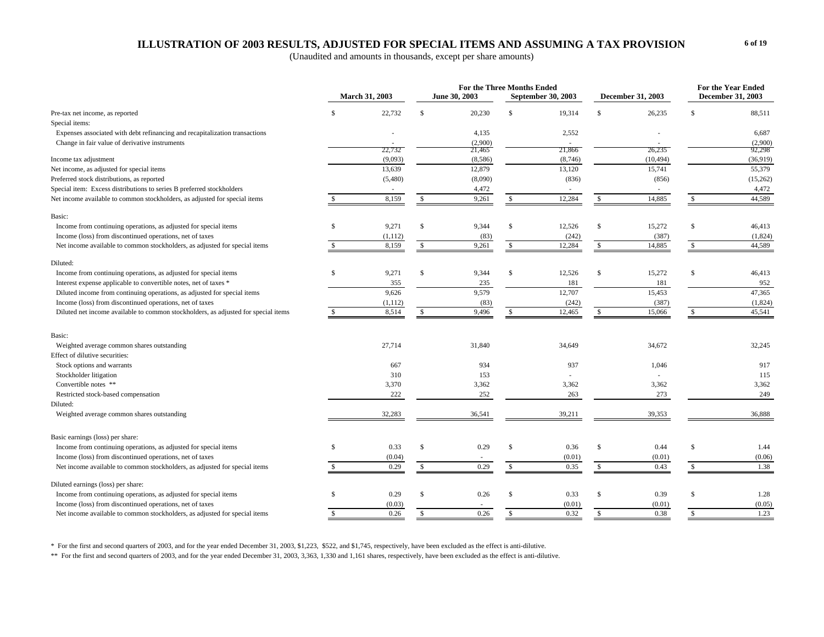### **ILLUSTRATION OF 2003 RESULTS, ADJUSTED FOR SPECIAL ITEMS AND ASSUMING A TAX PROVISION**

(Unaudited and amounts in thousands, except per share amounts)

| <b>March 31, 2003</b><br>June 30, 2003<br>December 31, 2003<br>September 30, 2003<br>December 31, 2003<br>22,732<br>\$<br>20,230<br><sup>\$</sup><br>19,314<br>$\mathbb{S}$<br>Pre-tax net income, as reported<br>S<br>26,235<br><sup>\$</sup><br>88,511<br>Special items:<br>2,552<br>6,687<br>Expenses associated with debt refinancing and recapitalization transactions<br>4,135<br>(2,900)<br>Change in fair value of derivative instruments<br>(2,900)<br>22,732<br>21,465<br>21,866<br>26,235<br>92,298<br>(9,093)<br>(10, 494)<br>(36, 919)<br>Income tax adjustment<br>(8,586)<br>(8,746)<br>55,379<br>13,639<br>12,879<br>13,120<br>15,741<br>Net income, as adjusted for special items<br>Preferred stock distributions, as reported<br>(15,262)<br>(5,480)<br>(8,090)<br>(836)<br>(856)<br>Special item: Excess distributions to series B preferred stockholders<br>4,472<br>4,472<br>44,589<br>12,284<br>14,885<br>Net income available to common stockholders, as adjusted for special items<br>8,159<br>9,261<br>$\mathbb{S}$<br>$\mathbb{S}$<br>\$<br>\$<br>Basic:<br>Income from continuing operations, as adjusted for special items<br>9,271<br>\$<br>9,344<br>\$<br>12,526<br>\$<br>15,272<br>$\mathbb{S}$<br>S<br>46,413<br>Income (loss) from discontinued operations, net of taxes<br>(1,824)<br>(83)<br>(242)<br>(387)<br>(1,112)<br>8,159<br>12,284<br>44,589<br>9,261<br>14,885<br>Net income available to common stockholders, as adjusted for special items<br>$\mathbb{S}$<br>\$<br>$\mathbb{S}$<br>$\mathbb{S}$<br>S.<br>Diluted:<br>9,271<br>12,526<br>15,272<br>Income from continuing operations, as adjusted for special items<br>$\mathcal{S}$<br>9,344<br>$\mathbf{s}$<br>$\mathbb{S}$<br>$\mathcal{S}$<br>46,413<br><b>S</b><br>Interest expense applicable to convertible notes, net of taxes *<br>355<br>235<br>181<br>181<br>952<br>9,579<br>12,707<br>9,626<br>15,453<br>47,365<br>Diluted income from continuing operations, as adjusted for special items<br>Income (loss) from discontinued operations, net of taxes<br>(242)<br>(387)<br>(1,824)<br>(1,112)<br>(83)<br>8,514<br>9,496<br>45,541<br>Diluted net income available to common stockholders, as adjusted for special items<br>12,465<br>15,066<br>\$<br>\$.<br><sup>\$</sup><br>Basic:<br>27,714<br>31,840<br>34,672<br>32,245<br>Weighted average common shares outstanding<br>34,649<br>Effect of dilutive securities:<br>Stock options and warrants<br>934<br>937<br>1,046<br>917<br>667<br>Stockholder litigation<br>310<br>153<br>115<br>Convertible notes **<br>3,370<br>3,362<br>3,362<br>3,362<br>3,362<br>222<br>273<br>249<br>Restricted stock-based compensation<br>252<br>263<br>Diluted:<br>32,283<br>36,541<br>39,353<br>39,211<br>36,888<br>Weighted average common shares outstanding<br>Basic earnings (loss) per share:<br>Income from continuing operations, as adjusted for special items<br>0.33<br>0.29<br>$\mathbf S$<br>\$.<br>$\mathcal{S}$<br>0.36<br><sup>\$</sup><br>0.44<br>$\mathbf{s}$<br>1.44<br>Income (loss) from discontinued operations, net of taxes<br>(0.06)<br>(0.04)<br>(0.01)<br>(0.01)<br>0.29<br>0.35<br>1.38<br>0.29<br>\$<br>$\mathbb{S}$<br>0.43<br>Net income available to common stockholders, as adjusted for special items<br>\$<br>\$<br>Diluted earnings (loss) per share:<br>Income from continuing operations, as adjusted for special items<br>0.26<br><sup>\$</sup><br>0.33<br><sup>\$</sup><br>S<br>0.29<br>\$<br>\$<br>0.39<br>1.28<br>Income (loss) from discontinued operations, net of taxes<br>(0.03)<br>(0.01)<br>(0.01)<br>(0.05)<br>0.26<br>$\mathbf{s}$<br>0.32<br>0.38<br>1.23<br>Net income available to common stockholders, as adjusted for special items<br>0.26<br>$\mathbb{S}$<br>$\mathbb{S}$<br>$\mathbf{s}$<br><b>S</b> |  |  | <b>For the Three Months Ended</b> |  |  | <b>For the Year Ended</b> |  |
|--------------------------------------------------------------------------------------------------------------------------------------------------------------------------------------------------------------------------------------------------------------------------------------------------------------------------------------------------------------------------------------------------------------------------------------------------------------------------------------------------------------------------------------------------------------------------------------------------------------------------------------------------------------------------------------------------------------------------------------------------------------------------------------------------------------------------------------------------------------------------------------------------------------------------------------------------------------------------------------------------------------------------------------------------------------------------------------------------------------------------------------------------------------------------------------------------------------------------------------------------------------------------------------------------------------------------------------------------------------------------------------------------------------------------------------------------------------------------------------------------------------------------------------------------------------------------------------------------------------------------------------------------------------------------------------------------------------------------------------------------------------------------------------------------------------------------------------------------------------------------------------------------------------------------------------------------------------------------------------------------------------------------------------------------------------------------------------------------------------------------------------------------------------------------------------------------------------------------------------------------------------------------------------------------------------------------------------------------------------------------------------------------------------------------------------------------------------------------------------------------------------------------------------------------------------------------------------------------------------------------------------------------------------------------------------------------------------------------------------------------------------------------------------------------------------------------------------------------------------------------------------------------------------------------------------------------------------------------------------------------------------------------------------------------------------------------------------------------------------------------------------------------------------------------------------------------------------------------------------------------------------------------------------------------------------------------------------------------------------------------------------------------------------------------------------------------------------------------------------------------------------------------------------------------------------------------------------------------------------------------------------------------------------------------------------------------------------------------------------------------------------------------------------------------------------|--|--|-----------------------------------|--|--|---------------------------|--|
|                                                                                                                                                                                                                                                                                                                                                                                                                                                                                                                                                                                                                                                                                                                                                                                                                                                                                                                                                                                                                                                                                                                                                                                                                                                                                                                                                                                                                                                                                                                                                                                                                                                                                                                                                                                                                                                                                                                                                                                                                                                                                                                                                                                                                                                                                                                                                                                                                                                                                                                                                                                                                                                                                                                                                                                                                                                                                                                                                                                                                                                                                                                                                                                                                                                                                                                                                                                                                                                                                                                                                                                                                                                                                                                                                                                                              |  |  |                                   |  |  |                           |  |
|                                                                                                                                                                                                                                                                                                                                                                                                                                                                                                                                                                                                                                                                                                                                                                                                                                                                                                                                                                                                                                                                                                                                                                                                                                                                                                                                                                                                                                                                                                                                                                                                                                                                                                                                                                                                                                                                                                                                                                                                                                                                                                                                                                                                                                                                                                                                                                                                                                                                                                                                                                                                                                                                                                                                                                                                                                                                                                                                                                                                                                                                                                                                                                                                                                                                                                                                                                                                                                                                                                                                                                                                                                                                                                                                                                                                              |  |  |                                   |  |  |                           |  |
|                                                                                                                                                                                                                                                                                                                                                                                                                                                                                                                                                                                                                                                                                                                                                                                                                                                                                                                                                                                                                                                                                                                                                                                                                                                                                                                                                                                                                                                                                                                                                                                                                                                                                                                                                                                                                                                                                                                                                                                                                                                                                                                                                                                                                                                                                                                                                                                                                                                                                                                                                                                                                                                                                                                                                                                                                                                                                                                                                                                                                                                                                                                                                                                                                                                                                                                                                                                                                                                                                                                                                                                                                                                                                                                                                                                                              |  |  |                                   |  |  |                           |  |
|                                                                                                                                                                                                                                                                                                                                                                                                                                                                                                                                                                                                                                                                                                                                                                                                                                                                                                                                                                                                                                                                                                                                                                                                                                                                                                                                                                                                                                                                                                                                                                                                                                                                                                                                                                                                                                                                                                                                                                                                                                                                                                                                                                                                                                                                                                                                                                                                                                                                                                                                                                                                                                                                                                                                                                                                                                                                                                                                                                                                                                                                                                                                                                                                                                                                                                                                                                                                                                                                                                                                                                                                                                                                                                                                                                                                              |  |  |                                   |  |  |                           |  |
|                                                                                                                                                                                                                                                                                                                                                                                                                                                                                                                                                                                                                                                                                                                                                                                                                                                                                                                                                                                                                                                                                                                                                                                                                                                                                                                                                                                                                                                                                                                                                                                                                                                                                                                                                                                                                                                                                                                                                                                                                                                                                                                                                                                                                                                                                                                                                                                                                                                                                                                                                                                                                                                                                                                                                                                                                                                                                                                                                                                                                                                                                                                                                                                                                                                                                                                                                                                                                                                                                                                                                                                                                                                                                                                                                                                                              |  |  |                                   |  |  |                           |  |
|                                                                                                                                                                                                                                                                                                                                                                                                                                                                                                                                                                                                                                                                                                                                                                                                                                                                                                                                                                                                                                                                                                                                                                                                                                                                                                                                                                                                                                                                                                                                                                                                                                                                                                                                                                                                                                                                                                                                                                                                                                                                                                                                                                                                                                                                                                                                                                                                                                                                                                                                                                                                                                                                                                                                                                                                                                                                                                                                                                                                                                                                                                                                                                                                                                                                                                                                                                                                                                                                                                                                                                                                                                                                                                                                                                                                              |  |  |                                   |  |  |                           |  |
|                                                                                                                                                                                                                                                                                                                                                                                                                                                                                                                                                                                                                                                                                                                                                                                                                                                                                                                                                                                                                                                                                                                                                                                                                                                                                                                                                                                                                                                                                                                                                                                                                                                                                                                                                                                                                                                                                                                                                                                                                                                                                                                                                                                                                                                                                                                                                                                                                                                                                                                                                                                                                                                                                                                                                                                                                                                                                                                                                                                                                                                                                                                                                                                                                                                                                                                                                                                                                                                                                                                                                                                                                                                                                                                                                                                                              |  |  |                                   |  |  |                           |  |
|                                                                                                                                                                                                                                                                                                                                                                                                                                                                                                                                                                                                                                                                                                                                                                                                                                                                                                                                                                                                                                                                                                                                                                                                                                                                                                                                                                                                                                                                                                                                                                                                                                                                                                                                                                                                                                                                                                                                                                                                                                                                                                                                                                                                                                                                                                                                                                                                                                                                                                                                                                                                                                                                                                                                                                                                                                                                                                                                                                                                                                                                                                                                                                                                                                                                                                                                                                                                                                                                                                                                                                                                                                                                                                                                                                                                              |  |  |                                   |  |  |                           |  |
|                                                                                                                                                                                                                                                                                                                                                                                                                                                                                                                                                                                                                                                                                                                                                                                                                                                                                                                                                                                                                                                                                                                                                                                                                                                                                                                                                                                                                                                                                                                                                                                                                                                                                                                                                                                                                                                                                                                                                                                                                                                                                                                                                                                                                                                                                                                                                                                                                                                                                                                                                                                                                                                                                                                                                                                                                                                                                                                                                                                                                                                                                                                                                                                                                                                                                                                                                                                                                                                                                                                                                                                                                                                                                                                                                                                                              |  |  |                                   |  |  |                           |  |
|                                                                                                                                                                                                                                                                                                                                                                                                                                                                                                                                                                                                                                                                                                                                                                                                                                                                                                                                                                                                                                                                                                                                                                                                                                                                                                                                                                                                                                                                                                                                                                                                                                                                                                                                                                                                                                                                                                                                                                                                                                                                                                                                                                                                                                                                                                                                                                                                                                                                                                                                                                                                                                                                                                                                                                                                                                                                                                                                                                                                                                                                                                                                                                                                                                                                                                                                                                                                                                                                                                                                                                                                                                                                                                                                                                                                              |  |  |                                   |  |  |                           |  |
|                                                                                                                                                                                                                                                                                                                                                                                                                                                                                                                                                                                                                                                                                                                                                                                                                                                                                                                                                                                                                                                                                                                                                                                                                                                                                                                                                                                                                                                                                                                                                                                                                                                                                                                                                                                                                                                                                                                                                                                                                                                                                                                                                                                                                                                                                                                                                                                                                                                                                                                                                                                                                                                                                                                                                                                                                                                                                                                                                                                                                                                                                                                                                                                                                                                                                                                                                                                                                                                                                                                                                                                                                                                                                                                                                                                                              |  |  |                                   |  |  |                           |  |
|                                                                                                                                                                                                                                                                                                                                                                                                                                                                                                                                                                                                                                                                                                                                                                                                                                                                                                                                                                                                                                                                                                                                                                                                                                                                                                                                                                                                                                                                                                                                                                                                                                                                                                                                                                                                                                                                                                                                                                                                                                                                                                                                                                                                                                                                                                                                                                                                                                                                                                                                                                                                                                                                                                                                                                                                                                                                                                                                                                                                                                                                                                                                                                                                                                                                                                                                                                                                                                                                                                                                                                                                                                                                                                                                                                                                              |  |  |                                   |  |  |                           |  |
|                                                                                                                                                                                                                                                                                                                                                                                                                                                                                                                                                                                                                                                                                                                                                                                                                                                                                                                                                                                                                                                                                                                                                                                                                                                                                                                                                                                                                                                                                                                                                                                                                                                                                                                                                                                                                                                                                                                                                                                                                                                                                                                                                                                                                                                                                                                                                                                                                                                                                                                                                                                                                                                                                                                                                                                                                                                                                                                                                                                                                                                                                                                                                                                                                                                                                                                                                                                                                                                                                                                                                                                                                                                                                                                                                                                                              |  |  |                                   |  |  |                           |  |
|                                                                                                                                                                                                                                                                                                                                                                                                                                                                                                                                                                                                                                                                                                                                                                                                                                                                                                                                                                                                                                                                                                                                                                                                                                                                                                                                                                                                                                                                                                                                                                                                                                                                                                                                                                                                                                                                                                                                                                                                                                                                                                                                                                                                                                                                                                                                                                                                                                                                                                                                                                                                                                                                                                                                                                                                                                                                                                                                                                                                                                                                                                                                                                                                                                                                                                                                                                                                                                                                                                                                                                                                                                                                                                                                                                                                              |  |  |                                   |  |  |                           |  |
|                                                                                                                                                                                                                                                                                                                                                                                                                                                                                                                                                                                                                                                                                                                                                                                                                                                                                                                                                                                                                                                                                                                                                                                                                                                                                                                                                                                                                                                                                                                                                                                                                                                                                                                                                                                                                                                                                                                                                                                                                                                                                                                                                                                                                                                                                                                                                                                                                                                                                                                                                                                                                                                                                                                                                                                                                                                                                                                                                                                                                                                                                                                                                                                                                                                                                                                                                                                                                                                                                                                                                                                                                                                                                                                                                                                                              |  |  |                                   |  |  |                           |  |
|                                                                                                                                                                                                                                                                                                                                                                                                                                                                                                                                                                                                                                                                                                                                                                                                                                                                                                                                                                                                                                                                                                                                                                                                                                                                                                                                                                                                                                                                                                                                                                                                                                                                                                                                                                                                                                                                                                                                                                                                                                                                                                                                                                                                                                                                                                                                                                                                                                                                                                                                                                                                                                                                                                                                                                                                                                                                                                                                                                                                                                                                                                                                                                                                                                                                                                                                                                                                                                                                                                                                                                                                                                                                                                                                                                                                              |  |  |                                   |  |  |                           |  |
|                                                                                                                                                                                                                                                                                                                                                                                                                                                                                                                                                                                                                                                                                                                                                                                                                                                                                                                                                                                                                                                                                                                                                                                                                                                                                                                                                                                                                                                                                                                                                                                                                                                                                                                                                                                                                                                                                                                                                                                                                                                                                                                                                                                                                                                                                                                                                                                                                                                                                                                                                                                                                                                                                                                                                                                                                                                                                                                                                                                                                                                                                                                                                                                                                                                                                                                                                                                                                                                                                                                                                                                                                                                                                                                                                                                                              |  |  |                                   |  |  |                           |  |
|                                                                                                                                                                                                                                                                                                                                                                                                                                                                                                                                                                                                                                                                                                                                                                                                                                                                                                                                                                                                                                                                                                                                                                                                                                                                                                                                                                                                                                                                                                                                                                                                                                                                                                                                                                                                                                                                                                                                                                                                                                                                                                                                                                                                                                                                                                                                                                                                                                                                                                                                                                                                                                                                                                                                                                                                                                                                                                                                                                                                                                                                                                                                                                                                                                                                                                                                                                                                                                                                                                                                                                                                                                                                                                                                                                                                              |  |  |                                   |  |  |                           |  |
|                                                                                                                                                                                                                                                                                                                                                                                                                                                                                                                                                                                                                                                                                                                                                                                                                                                                                                                                                                                                                                                                                                                                                                                                                                                                                                                                                                                                                                                                                                                                                                                                                                                                                                                                                                                                                                                                                                                                                                                                                                                                                                                                                                                                                                                                                                                                                                                                                                                                                                                                                                                                                                                                                                                                                                                                                                                                                                                                                                                                                                                                                                                                                                                                                                                                                                                                                                                                                                                                                                                                                                                                                                                                                                                                                                                                              |  |  |                                   |  |  |                           |  |
|                                                                                                                                                                                                                                                                                                                                                                                                                                                                                                                                                                                                                                                                                                                                                                                                                                                                                                                                                                                                                                                                                                                                                                                                                                                                                                                                                                                                                                                                                                                                                                                                                                                                                                                                                                                                                                                                                                                                                                                                                                                                                                                                                                                                                                                                                                                                                                                                                                                                                                                                                                                                                                                                                                                                                                                                                                                                                                                                                                                                                                                                                                                                                                                                                                                                                                                                                                                                                                                                                                                                                                                                                                                                                                                                                                                                              |  |  |                                   |  |  |                           |  |
|                                                                                                                                                                                                                                                                                                                                                                                                                                                                                                                                                                                                                                                                                                                                                                                                                                                                                                                                                                                                                                                                                                                                                                                                                                                                                                                                                                                                                                                                                                                                                                                                                                                                                                                                                                                                                                                                                                                                                                                                                                                                                                                                                                                                                                                                                                                                                                                                                                                                                                                                                                                                                                                                                                                                                                                                                                                                                                                                                                                                                                                                                                                                                                                                                                                                                                                                                                                                                                                                                                                                                                                                                                                                                                                                                                                                              |  |  |                                   |  |  |                           |  |
|                                                                                                                                                                                                                                                                                                                                                                                                                                                                                                                                                                                                                                                                                                                                                                                                                                                                                                                                                                                                                                                                                                                                                                                                                                                                                                                                                                                                                                                                                                                                                                                                                                                                                                                                                                                                                                                                                                                                                                                                                                                                                                                                                                                                                                                                                                                                                                                                                                                                                                                                                                                                                                                                                                                                                                                                                                                                                                                                                                                                                                                                                                                                                                                                                                                                                                                                                                                                                                                                                                                                                                                                                                                                                                                                                                                                              |  |  |                                   |  |  |                           |  |
|                                                                                                                                                                                                                                                                                                                                                                                                                                                                                                                                                                                                                                                                                                                                                                                                                                                                                                                                                                                                                                                                                                                                                                                                                                                                                                                                                                                                                                                                                                                                                                                                                                                                                                                                                                                                                                                                                                                                                                                                                                                                                                                                                                                                                                                                                                                                                                                                                                                                                                                                                                                                                                                                                                                                                                                                                                                                                                                                                                                                                                                                                                                                                                                                                                                                                                                                                                                                                                                                                                                                                                                                                                                                                                                                                                                                              |  |  |                                   |  |  |                           |  |
|                                                                                                                                                                                                                                                                                                                                                                                                                                                                                                                                                                                                                                                                                                                                                                                                                                                                                                                                                                                                                                                                                                                                                                                                                                                                                                                                                                                                                                                                                                                                                                                                                                                                                                                                                                                                                                                                                                                                                                                                                                                                                                                                                                                                                                                                                                                                                                                                                                                                                                                                                                                                                                                                                                                                                                                                                                                                                                                                                                                                                                                                                                                                                                                                                                                                                                                                                                                                                                                                                                                                                                                                                                                                                                                                                                                                              |  |  |                                   |  |  |                           |  |
|                                                                                                                                                                                                                                                                                                                                                                                                                                                                                                                                                                                                                                                                                                                                                                                                                                                                                                                                                                                                                                                                                                                                                                                                                                                                                                                                                                                                                                                                                                                                                                                                                                                                                                                                                                                                                                                                                                                                                                                                                                                                                                                                                                                                                                                                                                                                                                                                                                                                                                                                                                                                                                                                                                                                                                                                                                                                                                                                                                                                                                                                                                                                                                                                                                                                                                                                                                                                                                                                                                                                                                                                                                                                                                                                                                                                              |  |  |                                   |  |  |                           |  |
|                                                                                                                                                                                                                                                                                                                                                                                                                                                                                                                                                                                                                                                                                                                                                                                                                                                                                                                                                                                                                                                                                                                                                                                                                                                                                                                                                                                                                                                                                                                                                                                                                                                                                                                                                                                                                                                                                                                                                                                                                                                                                                                                                                                                                                                                                                                                                                                                                                                                                                                                                                                                                                                                                                                                                                                                                                                                                                                                                                                                                                                                                                                                                                                                                                                                                                                                                                                                                                                                                                                                                                                                                                                                                                                                                                                                              |  |  |                                   |  |  |                           |  |
|                                                                                                                                                                                                                                                                                                                                                                                                                                                                                                                                                                                                                                                                                                                                                                                                                                                                                                                                                                                                                                                                                                                                                                                                                                                                                                                                                                                                                                                                                                                                                                                                                                                                                                                                                                                                                                                                                                                                                                                                                                                                                                                                                                                                                                                                                                                                                                                                                                                                                                                                                                                                                                                                                                                                                                                                                                                                                                                                                                                                                                                                                                                                                                                                                                                                                                                                                                                                                                                                                                                                                                                                                                                                                                                                                                                                              |  |  |                                   |  |  |                           |  |
|                                                                                                                                                                                                                                                                                                                                                                                                                                                                                                                                                                                                                                                                                                                                                                                                                                                                                                                                                                                                                                                                                                                                                                                                                                                                                                                                                                                                                                                                                                                                                                                                                                                                                                                                                                                                                                                                                                                                                                                                                                                                                                                                                                                                                                                                                                                                                                                                                                                                                                                                                                                                                                                                                                                                                                                                                                                                                                                                                                                                                                                                                                                                                                                                                                                                                                                                                                                                                                                                                                                                                                                                                                                                                                                                                                                                              |  |  |                                   |  |  |                           |  |
|                                                                                                                                                                                                                                                                                                                                                                                                                                                                                                                                                                                                                                                                                                                                                                                                                                                                                                                                                                                                                                                                                                                                                                                                                                                                                                                                                                                                                                                                                                                                                                                                                                                                                                                                                                                                                                                                                                                                                                                                                                                                                                                                                                                                                                                                                                                                                                                                                                                                                                                                                                                                                                                                                                                                                                                                                                                                                                                                                                                                                                                                                                                                                                                                                                                                                                                                                                                                                                                                                                                                                                                                                                                                                                                                                                                                              |  |  |                                   |  |  |                           |  |
|                                                                                                                                                                                                                                                                                                                                                                                                                                                                                                                                                                                                                                                                                                                                                                                                                                                                                                                                                                                                                                                                                                                                                                                                                                                                                                                                                                                                                                                                                                                                                                                                                                                                                                                                                                                                                                                                                                                                                                                                                                                                                                                                                                                                                                                                                                                                                                                                                                                                                                                                                                                                                                                                                                                                                                                                                                                                                                                                                                                                                                                                                                                                                                                                                                                                                                                                                                                                                                                                                                                                                                                                                                                                                                                                                                                                              |  |  |                                   |  |  |                           |  |
|                                                                                                                                                                                                                                                                                                                                                                                                                                                                                                                                                                                                                                                                                                                                                                                                                                                                                                                                                                                                                                                                                                                                                                                                                                                                                                                                                                                                                                                                                                                                                                                                                                                                                                                                                                                                                                                                                                                                                                                                                                                                                                                                                                                                                                                                                                                                                                                                                                                                                                                                                                                                                                                                                                                                                                                                                                                                                                                                                                                                                                                                                                                                                                                                                                                                                                                                                                                                                                                                                                                                                                                                                                                                                                                                                                                                              |  |  |                                   |  |  |                           |  |
|                                                                                                                                                                                                                                                                                                                                                                                                                                                                                                                                                                                                                                                                                                                                                                                                                                                                                                                                                                                                                                                                                                                                                                                                                                                                                                                                                                                                                                                                                                                                                                                                                                                                                                                                                                                                                                                                                                                                                                                                                                                                                                                                                                                                                                                                                                                                                                                                                                                                                                                                                                                                                                                                                                                                                                                                                                                                                                                                                                                                                                                                                                                                                                                                                                                                                                                                                                                                                                                                                                                                                                                                                                                                                                                                                                                                              |  |  |                                   |  |  |                           |  |
|                                                                                                                                                                                                                                                                                                                                                                                                                                                                                                                                                                                                                                                                                                                                                                                                                                                                                                                                                                                                                                                                                                                                                                                                                                                                                                                                                                                                                                                                                                                                                                                                                                                                                                                                                                                                                                                                                                                                                                                                                                                                                                                                                                                                                                                                                                                                                                                                                                                                                                                                                                                                                                                                                                                                                                                                                                                                                                                                                                                                                                                                                                                                                                                                                                                                                                                                                                                                                                                                                                                                                                                                                                                                                                                                                                                                              |  |  |                                   |  |  |                           |  |
|                                                                                                                                                                                                                                                                                                                                                                                                                                                                                                                                                                                                                                                                                                                                                                                                                                                                                                                                                                                                                                                                                                                                                                                                                                                                                                                                                                                                                                                                                                                                                                                                                                                                                                                                                                                                                                                                                                                                                                                                                                                                                                                                                                                                                                                                                                                                                                                                                                                                                                                                                                                                                                                                                                                                                                                                                                                                                                                                                                                                                                                                                                                                                                                                                                                                                                                                                                                                                                                                                                                                                                                                                                                                                                                                                                                                              |  |  |                                   |  |  |                           |  |
|                                                                                                                                                                                                                                                                                                                                                                                                                                                                                                                                                                                                                                                                                                                                                                                                                                                                                                                                                                                                                                                                                                                                                                                                                                                                                                                                                                                                                                                                                                                                                                                                                                                                                                                                                                                                                                                                                                                                                                                                                                                                                                                                                                                                                                                                                                                                                                                                                                                                                                                                                                                                                                                                                                                                                                                                                                                                                                                                                                                                                                                                                                                                                                                                                                                                                                                                                                                                                                                                                                                                                                                                                                                                                                                                                                                                              |  |  |                                   |  |  |                           |  |
|                                                                                                                                                                                                                                                                                                                                                                                                                                                                                                                                                                                                                                                                                                                                                                                                                                                                                                                                                                                                                                                                                                                                                                                                                                                                                                                                                                                                                                                                                                                                                                                                                                                                                                                                                                                                                                                                                                                                                                                                                                                                                                                                                                                                                                                                                                                                                                                                                                                                                                                                                                                                                                                                                                                                                                                                                                                                                                                                                                                                                                                                                                                                                                                                                                                                                                                                                                                                                                                                                                                                                                                                                                                                                                                                                                                                              |  |  |                                   |  |  |                           |  |
|                                                                                                                                                                                                                                                                                                                                                                                                                                                                                                                                                                                                                                                                                                                                                                                                                                                                                                                                                                                                                                                                                                                                                                                                                                                                                                                                                                                                                                                                                                                                                                                                                                                                                                                                                                                                                                                                                                                                                                                                                                                                                                                                                                                                                                                                                                                                                                                                                                                                                                                                                                                                                                                                                                                                                                                                                                                                                                                                                                                                                                                                                                                                                                                                                                                                                                                                                                                                                                                                                                                                                                                                                                                                                                                                                                                                              |  |  |                                   |  |  |                           |  |
|                                                                                                                                                                                                                                                                                                                                                                                                                                                                                                                                                                                                                                                                                                                                                                                                                                                                                                                                                                                                                                                                                                                                                                                                                                                                                                                                                                                                                                                                                                                                                                                                                                                                                                                                                                                                                                                                                                                                                                                                                                                                                                                                                                                                                                                                                                                                                                                                                                                                                                                                                                                                                                                                                                                                                                                                                                                                                                                                                                                                                                                                                                                                                                                                                                                                                                                                                                                                                                                                                                                                                                                                                                                                                                                                                                                                              |  |  |                                   |  |  |                           |  |
|                                                                                                                                                                                                                                                                                                                                                                                                                                                                                                                                                                                                                                                                                                                                                                                                                                                                                                                                                                                                                                                                                                                                                                                                                                                                                                                                                                                                                                                                                                                                                                                                                                                                                                                                                                                                                                                                                                                                                                                                                                                                                                                                                                                                                                                                                                                                                                                                                                                                                                                                                                                                                                                                                                                                                                                                                                                                                                                                                                                                                                                                                                                                                                                                                                                                                                                                                                                                                                                                                                                                                                                                                                                                                                                                                                                                              |  |  |                                   |  |  |                           |  |

\* For the first and second quarters of 2003, and for the year ended December 31, 2003, \$1,223, \$522, and \$1,745, respectively, have been excluded as the effect is anti-dilutive.

\*\* For the first and second quarters of 2003, and for the year ended December 31, 2003, 3,363, 1,330 and 1,161 shares, respectively, have been excluded as the effect is anti-dilutive.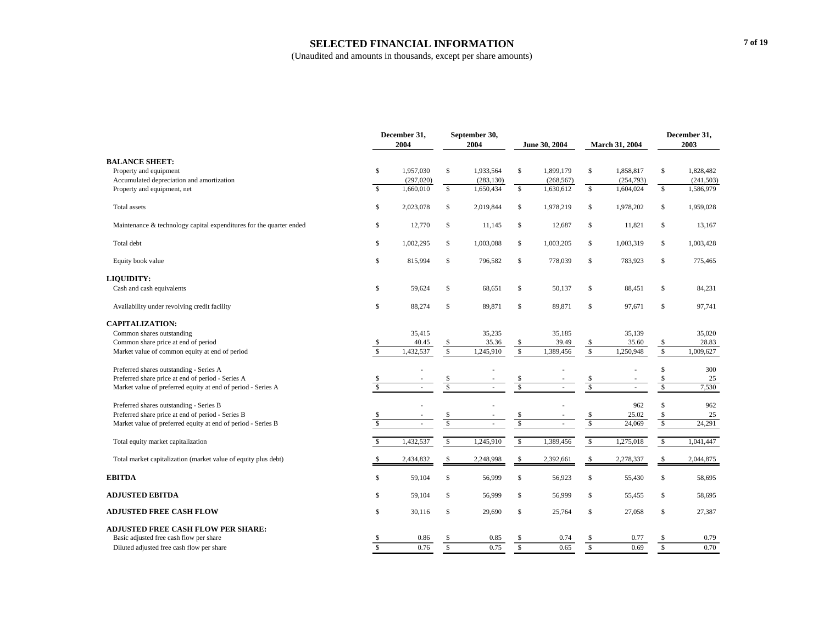#### **SELECTED FINANCIAL INFORMATION**

|                                                                     |                          | December 31,<br>2004     |                         | September 30,<br>2004 |                         | June 30, 2004 |                         | March 31, 2004 |                         | December 31,<br>2003 |  |
|---------------------------------------------------------------------|--------------------------|--------------------------|-------------------------|-----------------------|-------------------------|---------------|-------------------------|----------------|-------------------------|----------------------|--|
| <b>BALANCE SHEET:</b>                                               |                          |                          |                         |                       |                         |               |                         |                |                         |                      |  |
| Property and equipment                                              | \$                       | 1,957,030                | $\mathbf S$             | 1,933,564             | $\mathbb{S}$            | 1,899,179     | $\mathbb{S}$            | 1,858,817      | $\mathbb{S}$            | 1,828,482            |  |
| Accumulated depreciation and amortization                           |                          | (297, 020)               |                         | (283, 130)            |                         | (268, 567)    |                         | (254, 793)     |                         | (241, 503)           |  |
| Property and equipment, net                                         | $\mathbf S$              | 1,660,010                | $\mathbb{S}$            | 1,650,434             | $\mathbb{S}$            | 1,630,612     | \$                      | 1,604,024      | $\mathbb{S}$            | 1,586,979            |  |
| Total assets                                                        | \$                       | 2,023,078                | $\mathbb{S}$            | 2,019,844             | $\mathbb{S}$            | 1,978,219     | \$                      | 1,978,202      | \$                      | 1,959,028            |  |
| Maintenance & technology capital expenditures for the quarter ended | \$                       | 12,770                   | \$                      | 11,145                | \$                      | 12,687        | \$                      | 11,821         | \$                      | 13,167               |  |
| Total debt                                                          | \$                       | 1,002,295                | \$                      | 1,003,088             | \$                      | 1,003,205     | \$                      | 1,003,319      | \$                      | 1,003,428            |  |
| Equity book value                                                   | \$                       | 815,994                  | $\mathbb{S}$            | 796,582               | \$                      | 778,039       | \$                      | 783,923        | \$                      | 775,465              |  |
| LIQUIDITY:                                                          |                          |                          |                         |                       |                         |               |                         |                |                         |                      |  |
| Cash and cash equivalents                                           | \$                       | 59,624                   | \$                      | 68,651                | \$                      | 50,137        | \$                      | 88,451         | \$                      | 84,231               |  |
| Availability under revolving credit facility                        | $\mathbb{S}$             | 88,274                   | $\mathbb{S}$            | 89,871                | $\mathbb{S}$            | 89,871        | $\mathbb{S}$            | 97,671         | \$                      | 97,741               |  |
| <b>CAPITALIZATION:</b>                                              |                          |                          |                         |                       |                         |               |                         |                |                         |                      |  |
| Common shares outstanding                                           |                          | 35,415                   |                         | 35,235                |                         | 35.185        |                         | 35,139         |                         | 35,020               |  |
| Common share price at end of period                                 | \$                       | 40.45                    | \$                      | 35.36                 | \$                      | 39.49         | \$                      | 35.60          | \$                      | 28.83                |  |
| Market value of common equity at end of period                      | $\overline{\mathbf{s}}$  | 1,432,537                | $\overline{\mathbf{s}}$ | 1,245,910             | $\mathbf{s}$            | 1,389,456     | $\mathbf{s}$            | 1,250,948      | $\overline{\mathsf{s}}$ | 1,009,627            |  |
| Preferred shares outstanding - Series A                             |                          |                          |                         |                       |                         |               |                         |                | $\mathsf{\$}$           | 300                  |  |
| Preferred share price at end of period - Series A                   | \$                       |                          | \$                      |                       | $rac{1}{s}$             |               | \$                      |                | \$                      | 25                   |  |
| Market value of preferred equity at end of period - Series A        | $\mathbf S$              |                          | $\overline{\mathbf{s}}$ |                       |                         |               | $\overline{\mathbb{S}}$ | ä,             | $\sqrt{\frac{2}{3}}$    | 7,530                |  |
| Preferred shares outstanding - Series B                             |                          |                          |                         |                       |                         |               |                         | 962            | \$                      | 962                  |  |
| Preferred share price at end of period - Series B                   | \$                       |                          | \$                      |                       | $\frac{\$}{\$}$         |               | <sup>\$</sup>           | 25.02          | \$                      | 25                   |  |
| Market value of preferred equity at end of period - Series B        | $\overline{\mathbf{s}}$  | $\overline{\phantom{a}}$ | $\overline{\mathbf{s}}$ | $\sim$                |                         | $\sim$        | $\overline{\mathbb{S}}$ | 24,069         | $\sqrt{\frac{2}{5}}$    | 24,291               |  |
| Total equity market capitalization                                  | $\mathbb{S}$             | 1,432,537                | $\sqrt{s}$              | 1,245,910             | $\sqrt{s}$              | 1,389,456     | $\sqrt{2}$              | 1,275,018      | $\sqrt{3}$              | 1,041,447            |  |
| Total market capitalization (market value of equity plus debt)      | \$.                      | 2,434,832                | \$                      | 2,248,998             | $\mathbb{S}$            | 2,392,661     | $\mathbb{S}$            | 2,278,337      | \$                      | 2,044,875            |  |
| <b>EBITDA</b>                                                       | \$                       | 59,104                   | \$                      | 56,999                | $\mathbb{S}$            | 56,923        | $\mathbb{S}$            | 55,430         | \$                      | 58,695               |  |
| <b>ADJUSTED EBITDA</b>                                              | \$                       | 59,104                   | \$                      | 56,999                | \$                      | 56,999        | \$                      | 55,455         | \$                      | 58,695               |  |
| <b>ADJUSTED FREE CASH FLOW</b>                                      | \$                       | 30,116                   | \$                      | 29,690                | \$                      | 25,764        | \$                      | 27,058         | \$                      | 27,387               |  |
| <b>ADJUSTED FREE CASH FLOW PER SHARE:</b>                           |                          |                          |                         |                       |                         |               |                         |                |                         |                      |  |
| Basic adjusted free cash flow per share                             |                          | 0.86                     |                         | 0.85                  |                         | 0.74          |                         | 0.77           |                         | 0.79                 |  |
| Diluted adjusted free cash flow per share                           | $\overline{\mathcal{S}}$ | 0.76                     | s                       | 0.75                  | $\overline{\mathbf{S}}$ | 0.65          | $\overline{\mathbb{S}}$ | 0.69           | $\overline{\$}$         | 0.70                 |  |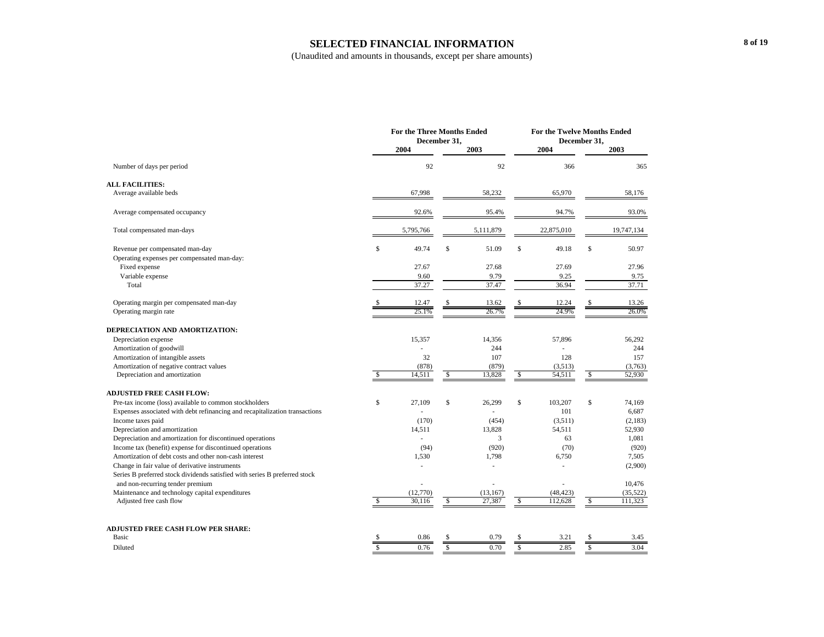#### **SELECTED FINANCIAL INFORMATION**

|                                                                                | <b>For the Three Months Ended</b><br>December 31, |                    |              |                     | For the Twelve Months Ended<br>December 31, |                      |               |                      |
|--------------------------------------------------------------------------------|---------------------------------------------------|--------------------|--------------|---------------------|---------------------------------------------|----------------------|---------------|----------------------|
|                                                                                |                                                   | 2004               |              | 2003                |                                             | 2004                 |               | 2003                 |
| Number of days per period                                                      |                                                   | 92                 |              | 92                  |                                             | 366                  |               | 365                  |
| <b>ALL FACILITIES:</b><br>Average available beds                               |                                                   | 67,998             |              | 58,232              |                                             | 65,970               |               | 58,176               |
|                                                                                |                                                   |                    |              |                     |                                             |                      |               |                      |
| Average compensated occupancy                                                  |                                                   | 92.6%              |              | 95.4%               |                                             | 94.7%                |               | 93.0%                |
| Total compensated man-days                                                     |                                                   | 5,795,766          |              | 5,111,879           |                                             | 22,875,010           |               | 19,747,134           |
| Revenue per compensated man-day<br>Operating expenses per compensated man-day: | \$                                                | 49.74              | $\mathbb{S}$ | 51.09               | $\mathsf S$                                 | 49.18                | \$            | 50.97                |
| Fixed expense                                                                  |                                                   | 27.67              |              | 27.68               |                                             | 27.69                |               | 27.96                |
| Variable expense                                                               |                                                   | 9.60               |              | 9.79                |                                             | 9.25                 |               | 9.75                 |
| Total                                                                          |                                                   | 37.27              |              | 37.47               |                                             | 36.94                |               | 37.71                |
| Operating margin per compensated man-day                                       |                                                   | 12.47              |              | 13.62               |                                             | 12.24                |               | 13.26                |
| Operating margin rate                                                          |                                                   | 25.1%              |              | 26.7%               |                                             | 24.9%                |               | 26.0%                |
| DEPRECIATION AND AMORTIZATION:                                                 |                                                   |                    |              |                     |                                             |                      |               |                      |
| Depreciation expense                                                           |                                                   | 15,357             |              | 14,356              |                                             | 57,896               |               | 56,292               |
| Amortization of goodwill                                                       |                                                   |                    |              | 244                 |                                             |                      |               | 244                  |
| Amortization of intangible assets                                              |                                                   | 32                 |              | 107                 |                                             | 128                  |               | 157                  |
| Amortization of negative contract values                                       |                                                   | (878)              |              | (879)               |                                             | (3,513)              |               | (3,763)              |
| Depreciation and amortization                                                  |                                                   | 14,511             | \$           | 13,828              | \$.                                         | 54,511               | <sup>\$</sup> | 52,930               |
| <b>ADJUSTED FREE CASH FLOW:</b>                                                |                                                   |                    |              |                     |                                             |                      |               |                      |
| Pre-tax income (loss) available to common stockholders                         | \$                                                | 27.109             | \$           | 26,299              | S.                                          | 103,207              | \$            | 74.169               |
| Expenses associated with debt refinancing and recapitalization transactions    |                                                   |                    |              |                     |                                             | 101                  |               | 6,687                |
| Income taxes paid                                                              |                                                   | (170)              |              | (454)               |                                             | (3,511)              |               | (2,183)              |
| Depreciation and amortization                                                  |                                                   | 14,511             |              | 13,828              |                                             | 54,511               |               | 52,930               |
| Depreciation and amortization for discontinued operations                      |                                                   |                    |              | 3                   |                                             | 63                   |               | 1,081                |
| Income tax (benefit) expense for discontinued operations                       |                                                   | (94)               |              | (920)               |                                             | (70)                 |               | (920)                |
| Amortization of debt costs and other non-cash interest                         |                                                   | 1,530              |              | 1,798               |                                             | 6,750                |               | 7,505                |
| Change in fair value of derivative instruments                                 |                                                   |                    |              |                     |                                             | ä,                   |               | (2,900)              |
| Series B preferred stock dividends satisfied with series B preferred stock     |                                                   |                    |              |                     |                                             |                      |               |                      |
| and non-recurring tender premium                                               |                                                   |                    |              |                     |                                             |                      |               | 10,476               |
| Maintenance and technology capital expenditures<br>Adjusted free cash flow     | <sup>\$</sup>                                     | (12,770)<br>30.116 | $\mathbb{S}$ | (13, 167)<br>27,387 | S.                                          | (48, 423)<br>112,628 | S             | (35, 522)<br>111,323 |
|                                                                                |                                                   |                    |              |                     |                                             |                      |               |                      |
| ADJUSTED FREE CASH FLOW PER SHARE:                                             |                                                   |                    |              |                     |                                             |                      |               |                      |
| Basic                                                                          |                                                   | 0.86               |              | 0.79                |                                             | 3.21                 |               | 3.45                 |
| Diluted                                                                        |                                                   | 0.76               | \$           | 0.70                | S                                           | 2.85                 | \$            | 3.04                 |
|                                                                                |                                                   |                    |              |                     |                                             |                      |               |                      |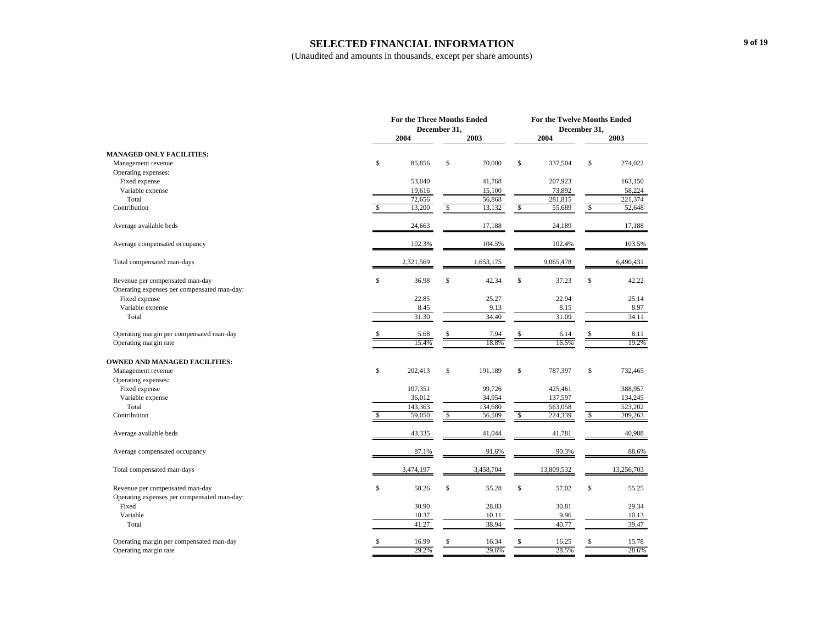#### **SELECTED FINANCIAL INFORMATION**

|                                                      |             | For the Three Months Ended<br>December 31, |    |               |              |            | <b>For the Twelve Months Ended</b><br>December 31, |            |  |  |
|------------------------------------------------------|-------------|--------------------------------------------|----|---------------|--------------|------------|----------------------------------------------------|------------|--|--|
|                                                      |             | 2004                                       |    | 2003          |              | 2004       |                                                    | 2003       |  |  |
| <b>MANAGED ONLY FACILITIES:</b>                      |             |                                            |    |               |              |            |                                                    |            |  |  |
| Management revenue                                   | \$          | 85,856                                     | \$ | 70,000        | $\mathbb{S}$ | 337,504    | $\mathbb{S}$                                       | 274,022    |  |  |
| Operating expenses:                                  |             |                                            |    |               |              |            |                                                    |            |  |  |
| Fixed expense                                        |             | 53,040                                     |    | 41,768        |              | 207,923    |                                                    | 163,150    |  |  |
| Variable expense                                     |             | 19,616                                     |    | 15,100        |              | 73,892     |                                                    | 58,224     |  |  |
| Total                                                |             | 72,656                                     |    | 56,868        |              | 281,815    |                                                    | 221,374    |  |  |
| Contribution                                         | \$          | 13,200                                     | \$ | 13,132        | $\mathbb{S}$ | 55,689     | \$                                                 | 52,648     |  |  |
| Average available beds                               |             | 24,663                                     |    | 17,188        |              | 24,189     |                                                    | 17,188     |  |  |
| Average compensated occupancy                        |             | 102.3%                                     |    | 104.5%        |              | 102.4%     |                                                    | 103.5%     |  |  |
| Total compensated man-days                           |             | 2,321,569                                  |    | 1,653,175     |              | 9,065,478  |                                                    | 6,490,431  |  |  |
| Revenue per compensated man-day                      | $\mathbb S$ | 36.98                                      | \$ | 42.34         | $\mathbb S$  | 37.23      | \$                                                 | 42.22      |  |  |
| Operating expenses per compensated man-day:          |             |                                            |    |               |              |            |                                                    |            |  |  |
| Fixed expense                                        |             | 22.85                                      |    | 25.27         |              | 22.94      |                                                    | 25.14      |  |  |
| Variable expense                                     |             | 8.45                                       |    | 9.13<br>34.40 |              | 8.15       |                                                    | 8.97       |  |  |
| Total                                                |             | 31.30                                      |    |               |              | 31.09      |                                                    | 34.11      |  |  |
| Operating margin per compensated man-day             | \$          | 5.68                                       |    | 7.94          | \$           | 6.14       |                                                    | 8.11       |  |  |
| Operating margin rate                                |             | 15.4%                                      |    | 18.8%         |              | 16.5%      |                                                    | 19.2%      |  |  |
| <b>OWNED AND MANAGED FACILITIES:</b>                 |             |                                            |    |               |              |            |                                                    |            |  |  |
| Management revenue                                   | \$          | 202,413                                    | \$ | 191,189       | $\mathbb S$  | 787,397    | \$                                                 | 732,465    |  |  |
| Operating expenses:                                  |             |                                            |    |               |              |            |                                                    |            |  |  |
| Fixed expense                                        |             | 107,351                                    |    | 99,726        |              | 425,461    |                                                    | 388,957    |  |  |
| Variable expense                                     |             | 36,012                                     |    | 34,954        |              | 137,597    |                                                    | 134,245    |  |  |
| Total                                                |             | 143,363                                    |    | 134,680       |              | 563,058    |                                                    | 523,202    |  |  |
| Contribution                                         | \$          | 59,050                                     | \$ | 56,509        | \$           | 224,339    | \$                                                 | 209,263    |  |  |
| Average available beds                               |             | 43,335                                     |    | 41,044        |              | 41,781     |                                                    | 40,988     |  |  |
| Average compensated occupancy                        |             | 87.1%                                      |    | 91.6%         |              | 90.3%      |                                                    | 88.6%      |  |  |
| Total compensated man-days                           |             | 3,474,197                                  |    | 3,458,704     |              | 13,809,532 |                                                    | 13,256,703 |  |  |
| Revenue per compensated man-day                      | $\mathbb S$ | 58.26                                      | \$ | 55.28         | $\mathbb S$  | 57.02      | \$                                                 | 55.25      |  |  |
| Operating expenses per compensated man-day:<br>Fixed |             | 30.90                                      |    | 28.83         |              | 30.81      |                                                    | 29.34      |  |  |
| Variable                                             |             | 10.37                                      |    | 10.11         |              | 9.96       |                                                    | 10.13      |  |  |
| Total                                                |             | 41.27                                      |    | 38.94         |              | 40.77      |                                                    | 39.47      |  |  |
|                                                      |             |                                            |    |               |              |            |                                                    |            |  |  |
| Operating margin per compensated man-day             | \$          | 16.99                                      |    | 16.34         | S            | 16.25      |                                                    | 15.78      |  |  |
| Operating margin rate                                |             | 29.2%                                      |    | 29.6%         |              | 28.5%      |                                                    | 28.6%      |  |  |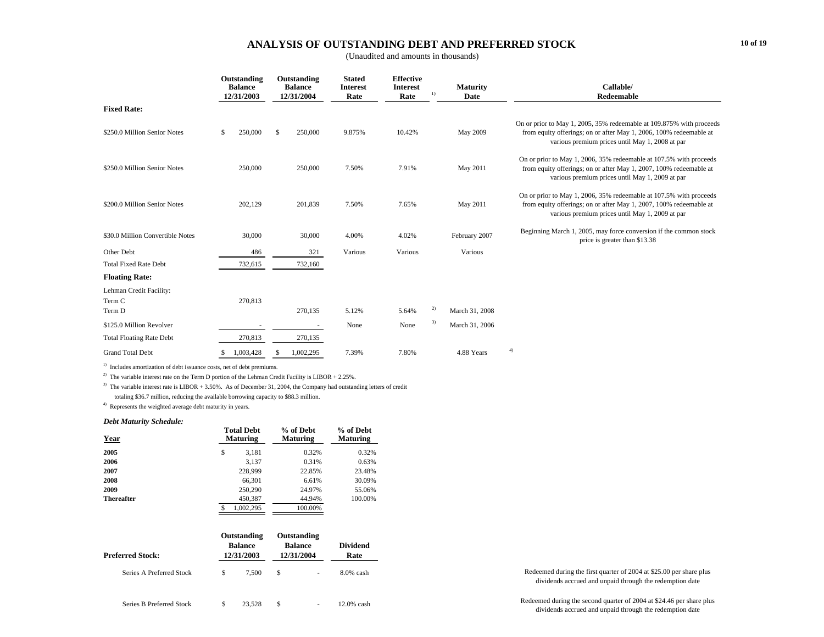### **ANALYSIS OF OUTSTANDING DEBT AND PREFERRED STOCK**

(Unaudited and amounts in thousands)

|                                  | Outstanding<br><b>Balance</b><br>12/31/2003 |           |               | Outstanding<br><b>Balance</b><br>12/31/2004 | <b>Stated</b><br><b>Interest</b><br>Rate | <b>Effective</b><br><b>Interest</b><br>Rate | 1) | <b>Maturity</b><br>Date | Callable/<br>Redeemable                                                                                                                                                                       |
|----------------------------------|---------------------------------------------|-----------|---------------|---------------------------------------------|------------------------------------------|---------------------------------------------|----|-------------------------|-----------------------------------------------------------------------------------------------------------------------------------------------------------------------------------------------|
| <b>Fixed Rate:</b>               |                                             |           |               |                                             |                                          |                                             |    |                         |                                                                                                                                                                                               |
| \$250.0 Million Senior Notes     | \$                                          | 250,000   | <sup>\$</sup> | 250,000                                     | 9.875%                                   | 10.42%                                      |    | May 2009                | On or prior to May 1, 2005, 35% redeemable at 109.875% with proceeds<br>from equity offerings; on or after May 1, 2006, 100% redeemable at<br>various premium prices until May 1, 2008 at par |
| \$250.0 Million Senior Notes     |                                             | 250,000   |               | 250,000                                     | 7.50%                                    | 7.91%                                       |    | May 2011                | On or prior to May 1, 2006, 35% redeemable at 107.5% with proceeds<br>from equity offerings; on or after May 1, 2007, 100% redeemable at<br>various premium prices until May 1, 2009 at par   |
| \$200.0 Million Senior Notes     |                                             | 202,129   |               | 201,839                                     | 7.50%                                    | 7.65%                                       |    | May 2011                | On or prior to May 1, 2006, 35% redeemable at 107.5% with proceeds<br>from equity offerings; on or after May 1, 2007, 100% redeemable at<br>various premium prices until May 1, 2009 at par   |
| \$30.0 Million Convertible Notes |                                             | 30,000    |               | 30,000                                      | 4.00%                                    | 4.02%                                       |    | February 2007           | Beginning March 1, 2005, may force conversion if the common stock<br>price is greater than \$13.38                                                                                            |
| Other Debt                       |                                             | 486       |               | 321                                         | Various                                  | Various                                     |    | Various                 |                                                                                                                                                                                               |
| <b>Total Fixed Rate Debt</b>     |                                             | 732,615   |               | 732,160                                     |                                          |                                             |    |                         |                                                                                                                                                                                               |
| <b>Floating Rate:</b>            |                                             |           |               |                                             |                                          |                                             |    |                         |                                                                                                                                                                                               |
| Lehman Credit Facility:          |                                             |           |               |                                             |                                          |                                             |    |                         |                                                                                                                                                                                               |
| Term C                           |                                             | 270,813   |               |                                             |                                          |                                             |    |                         |                                                                                                                                                                                               |
| Term D                           |                                             |           |               | 270,135                                     | 5.12%                                    | 5.64%                                       | 2) | March 31, 2008          |                                                                                                                                                                                               |
| \$125.0 Million Revolver         |                                             |           |               | $\sim$                                      | None                                     | None                                        | 3) | March 31, 2006          |                                                                                                                                                                                               |
| <b>Total Floating Rate Debt</b>  |                                             | 270,813   |               | 270,135                                     |                                          |                                             |    |                         |                                                                                                                                                                                               |
| <b>Grand Total Debt</b>          |                                             | 1,003,428 |               | 1,002,295                                   | 7.39%                                    | 7.80%                                       |    | 4.88 Years              | 4)                                                                                                                                                                                            |

<sup>1)</sup> Includes amortization of debt issuance costs, net of debt premiums.

<sup>2)</sup> The variable interest rate on the Term D portion of the Lehman Credit Facility is LIBOR + 2.25%.

<sup>3)</sup> The variable interest rate is LIBOR + 3.50%. As of December 31, 2004, the Company had outstanding letters of credit totaling \$36.7 million, reducing the available borrowing capacity to \$88.3 million.

4) Represents the weighted average debt maturity in years.

#### *Debt Maturity Schedule:*

| Year              | <b>Total Debt</b><br><b>Maturing</b> | % of Debt<br><b>Maturing</b> | % of Debt<br><b>Maturing</b> |  |  |
|-------------------|--------------------------------------|------------------------------|------------------------------|--|--|
| 2005              | \$<br>3,181                          | 0.32%                        | 0.32%                        |  |  |
| 2006              | 3,137                                | 0.31%                        | 0.63%                        |  |  |
| 2007              | 228,999                              | 22.85%                       | 23.48%                       |  |  |
| 2008              | 66.301                               | 6.61%                        | 30.09%                       |  |  |
| 2009              | 250,290                              | 24.97%                       | 55.06%                       |  |  |
| <b>Thereafter</b> | 450,387                              | 44.94%                       | 100.00%                      |  |  |
|                   | 1.002.295<br>S                       | 100.00%                      |                              |  |  |

| Preferred Stock:         | Outstanding<br><b>Balance</b><br>12/31/2003 | Outstanding<br><b>Balance</b><br>12/31/2004 | Dividend<br>Rate |                                                                                                                                  |
|--------------------------|---------------------------------------------|---------------------------------------------|------------------|----------------------------------------------------------------------------------------------------------------------------------|
| Series A Preferred Stock | 7.500                                       |                                             | $8.0\%$ cash     | Redeemed during the first quarter of 2004 at \$25.00 per share plus<br>dividends accrued and unpaid through the redemption date  |
| Series B Preferred Stock | 23.528                                      |                                             | 12.0% cash       | Redeemed during the second quarter of 2004 at \$24.46 per share plus<br>dividends accrued and unpaid through the redemption date |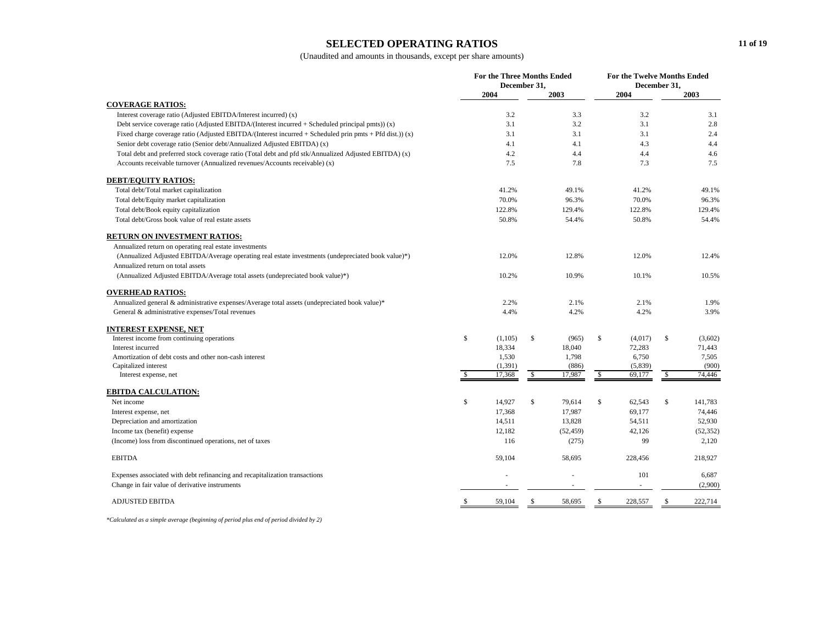### **SELECTED OPERATING RATIOS**

(Unaudited and amounts in thousands, except per share amounts)

|                                                                                                         | For the Three Months Ended<br>December 31, |          |              | For the Twelve Months Ended<br>December 31, |    |         |              |           |
|---------------------------------------------------------------------------------------------------------|--------------------------------------------|----------|--------------|---------------------------------------------|----|---------|--------------|-----------|
|                                                                                                         |                                            | 2004     |              | 2003                                        |    | 2004    |              | 2003      |
| <b>COVERAGE RATIOS:</b>                                                                                 |                                            |          |              |                                             |    |         |              |           |
| Interest coverage ratio (Adjusted EBITDA/Interest incurred) (x)                                         |                                            | 3.2      |              | 3.3                                         |    | 3.2     |              | 3.1       |
| Debt service coverage ratio (Adjusted EBITDA/(Interest incurred + Scheduled principal pmts)) $(x)$      |                                            | 3.1      |              | 3.2                                         |    | 3.1     |              | 2.8       |
| Fixed charge coverage ratio (Adjusted EBITDA/(Interest incurred + Scheduled prin pmts + Pfd dist.)) (x) |                                            | 3.1      |              | 3.1                                         |    | 3.1     |              | 2.4       |
| Senior debt coverage ratio (Senior debt/Annualized Adjusted EBITDA) (x)                                 |                                            | 4.1      |              | 4.1                                         |    | 4.3     |              | 4.4       |
| Total debt and preferred stock coverage ratio (Total debt and pfd stk/Annualized Adjusted EBITDA) (x)   |                                            | 4.2      |              | 4.4                                         |    | 4.4     |              | 4.6       |
| Accounts receivable turnover (Annualized revenues/Accounts receivable) (x)                              |                                            | 7.5      |              | 7.8                                         |    | 7.3     |              | 7.5       |
| <b>DEBT/EQUITY RATIOS:</b>                                                                              |                                            |          |              |                                             |    |         |              |           |
| Total debt/Total market capitalization                                                                  |                                            | 41.2%    |              | 49.1%                                       |    | 41.2%   |              | 49.1%     |
| Total debt/Equity market capitalization                                                                 |                                            | 70.0%    |              | 96.3%                                       |    | 70.0%   |              | 96.3%     |
| Total debt/Book equity capitalization                                                                   |                                            | 122.8%   |              | 129.4%                                      |    | 122.8%  |              | 129.4%    |
| Total debt/Gross book value of real estate assets                                                       |                                            | 50.8%    |              | 54.4%                                       |    | 50.8%   |              | 54.4%     |
| RETURN ON INVESTMENT RATIOS:                                                                            |                                            |          |              |                                             |    |         |              |           |
| Annualized return on operating real estate investments                                                  |                                            |          |              |                                             |    |         |              |           |
| (Annualized Adjusted EBITDA/Average operating real estate investments (undepreciated book value)*)      |                                            | 12.0%    |              | 12.8%                                       |    | 12.0%   |              | 12.4%     |
| Annualized return on total assets                                                                       |                                            |          |              |                                             |    |         |              |           |
| (Annualized Adjusted EBITDA/Average total assets (undepreciated book value)*)                           |                                            | 10.2%    |              | 10.9%                                       |    | 10.1%   |              | 10.5%     |
| <b>OVERHEAD RATIOS:</b>                                                                                 |                                            |          |              |                                             |    |         |              |           |
| Annualized general & administrative expenses/Average total assets (undepreciated book value)*           |                                            | 2.2%     |              | 2.1%                                        |    | 2.1%    |              | 1.9%      |
| General & administrative expenses/Total revenues                                                        |                                            | 4.4%     |              | 4.2%                                        |    | 4.2%    |              | 3.9%      |
| <b>INTEREST EXPENSE, NET</b>                                                                            |                                            |          |              |                                             |    |         |              |           |
| Interest income from continuing operations                                                              | \$                                         | (1,105)  | $\mathbb{S}$ | (965)                                       | \$ | (4,017) | \$           | (3,602)   |
| Interest incurred                                                                                       |                                            | 18,334   |              | 18,040                                      |    | 72,283  |              | 71,443    |
| Amortization of debt costs and other non-cash interest                                                  |                                            | 1,530    |              | 1,798                                       |    | 6,750   |              | 7,505     |
| Capitalized interest                                                                                    |                                            | (1, 391) |              | (886)                                       |    | (5,839) |              | (900)     |
| Interest expense, net                                                                                   | \$                                         | 17,368   | \$           | 17,987                                      | \$ | 69,177  | \$           | 74,446    |
| <b>EBITDA CALCULATION:</b>                                                                              |                                            |          |              |                                             |    |         |              |           |
| Net income                                                                                              | \$                                         | 14,927   | $\mathbb{S}$ | 79,614                                      | \$ | 62,543  | $\mathbb{S}$ | 141,783   |
| Interest expense, net                                                                                   |                                            | 17,368   |              | 17,987                                      |    | 69,177  |              | 74,446    |
| Depreciation and amortization                                                                           |                                            | 14,511   |              | 13,828                                      |    | 54,511  |              | 52,930    |
| Income tax (benefit) expense                                                                            |                                            | 12,182   |              | (52, 459)                                   |    | 42,126  |              | (52, 352) |
| (Income) loss from discontinued operations, net of taxes                                                |                                            | 116      |              | (275)                                       |    | 99      |              | 2,120     |
| <b>EBITDA</b>                                                                                           |                                            | 59,104   |              | 58,695                                      |    | 228,456 |              | 218,927   |
| Expenses associated with debt refinancing and recapitalization transactions                             |                                            |          |              |                                             |    | 101     |              | 6,687     |
| Change in fair value of derivative instruments                                                          |                                            |          |              |                                             |    |         |              | (2,900)   |
| <b>ADJUSTED EBITDA</b>                                                                                  | $\mathbb{S}$                               | 59,104   | $\mathbb{S}$ | 58,695                                      | \$ | 228,557 | \$           | 222,714   |

*\*Calculated as a simple average (beginning of period plus end of period divided by 2)*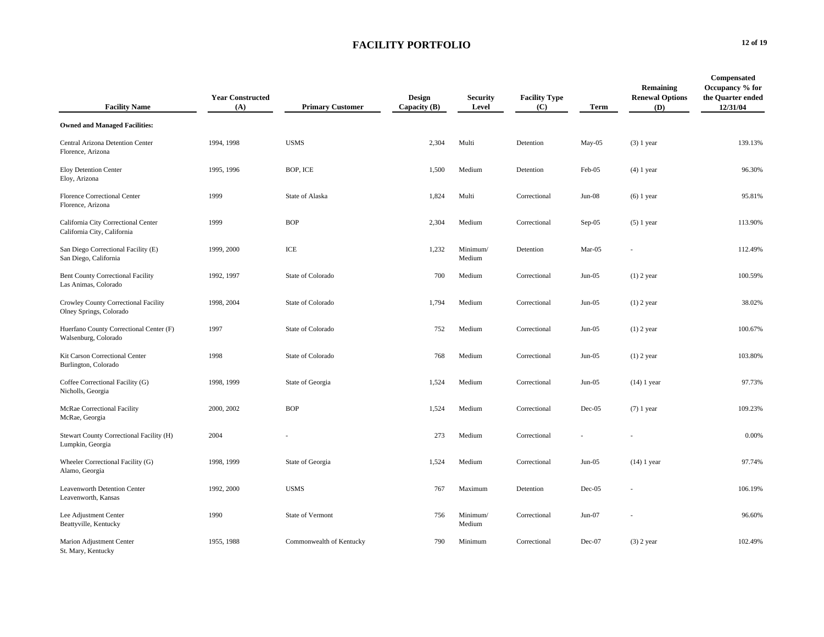| <b>Facility Name</b>                                               | <b>Year Constructed</b><br>(A) | <b>Primary Customer</b>  | <b>Design</b><br>Capacity (B) | <b>Security</b><br>Level | <b>Facility Type</b><br>(C) | Term     | Remaining<br><b>Renewal Options</b><br>(D) | Compensated<br>Occupancy % for<br>the Quarter ended<br>12/31/04 |
|--------------------------------------------------------------------|--------------------------------|--------------------------|-------------------------------|--------------------------|-----------------------------|----------|--------------------------------------------|-----------------------------------------------------------------|
| <b>Owned and Managed Facilities:</b>                               |                                |                          |                               |                          |                             |          |                                            |                                                                 |
| Central Arizona Detention Center<br>Florence, Arizona              | 1994, 1998                     | <b>USMS</b>              | 2,304                         | Multi                    | Detention                   | $May-05$ | $(3)$ 1 year                               | 139.13%                                                         |
| Eloy Detention Center<br>Eloy, Arizona                             | 1995, 1996                     | BOP, ICE                 | 1,500                         | Medium                   | Detention                   | Feb-05   | $(4)$ 1 year                               | 96.30%                                                          |
| Florence Correctional Center<br>Florence, Arizona                  | 1999                           | State of Alaska          | 1,824                         | Multi                    | Correctional                | $Jun-08$ | $(6)$ 1 year                               | 95.81%                                                          |
| California City Correctional Center<br>California City, California | 1999                           | <b>BOP</b>               | 2,304                         | Medium                   | Correctional                | Sep-05   | $(5)$ 1 year                               | 113.90%                                                         |
| San Diego Correctional Facility (E)<br>San Diego, California       | 1999, 2000                     | ICE                      | 1.232                         | Minimum/<br>Medium       | Detention                   | Mar-05   |                                            | 112.49%                                                         |
| <b>Bent County Correctional Facility</b><br>Las Animas, Colorado   | 1992, 1997                     | State of Colorado        | 700                           | Medium                   | Correctional                | $Jun-05$ | $(1)$ 2 year                               | 100.59%                                                         |
| Crowley County Correctional Facility<br>Olney Springs, Colorado    | 1998, 2004                     | State of Colorado        | 1,794                         | Medium                   | Correctional                | $Jun-05$ | $(1)$ 2 year                               | 38.02%                                                          |
| Huerfano County Correctional Center (F)<br>Walsenburg, Colorado    | 1997                           | State of Colorado        | 752                           | Medium                   | Correctional                | $Jun-05$ | $(1)$ 2 year                               | 100.67%                                                         |
| Kit Carson Correctional Center<br>Burlington, Colorado             | 1998                           | State of Colorado        | 768                           | Medium                   | Correctional                | $Jun-05$ | $(1)$ 2 year                               | 103.80%                                                         |
| Coffee Correctional Facility (G)<br>Nicholls, Georgia              | 1998, 1999                     | State of Georgia         | 1,524                         | Medium                   | Correctional                | $Jun-05$ | $(14)$ 1 year                              | 97.73%                                                          |
| McRae Correctional Facility<br>McRae, Georgia                      | 2000, 2002                     | <b>BOP</b>               | 1,524                         | Medium                   | Correctional                | $Dec-05$ | $(7)$ 1 year                               | 109.23%                                                         |
| Stewart County Correctional Facility (H)<br>Lumpkin, Georgia       | 2004                           |                          | 273                           | Medium                   | Correctional                |          |                                            | 0.00%                                                           |
| Wheeler Correctional Facility (G)<br>Alamo, Georgia                | 1998, 1999                     | State of Georgia         | 1,524                         | Medium                   | Correctional                | $Jun-05$ | $(14)$ 1 year                              | 97.74%                                                          |
| Leavenworth Detention Center<br>Leavenworth, Kansas                | 1992, 2000                     | <b>USMS</b>              | 767                           | Maximum                  | Detention                   | $Dec-05$ |                                            | 106.19%                                                         |
| Lee Adjustment Center<br>Beattyville, Kentucky                     | 1990                           | State of Vermont         | 756                           | Minimum/<br>Medium       | Correctional                | $Jun-07$ |                                            | 96.60%                                                          |
| Marion Adjustment Center<br>St. Mary, Kentucky                     | 1955, 1988                     | Commonwealth of Kentucky | 790                           | Minimum                  | Correctional                | Dec-07   | $(3)$ 2 year                               | 102.49%                                                         |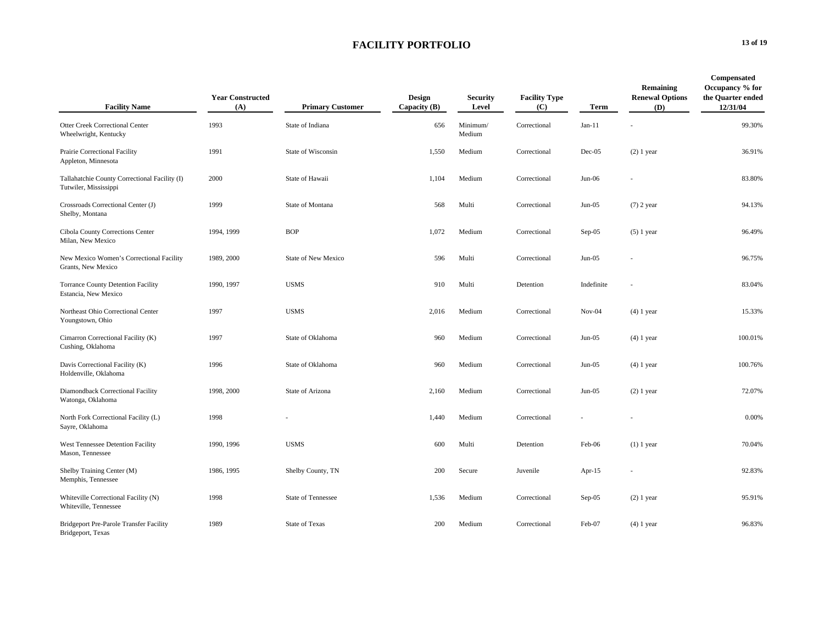| <b>Facility Name</b>                                                   | <b>Year Constructed</b><br>(A) | <b>Primary Customer</b>   | Design<br>Capacity $(B)$ | <b>Security</b><br>Level | <b>Facility Type</b><br>(C) | Term       | Remaining<br><b>Renewal Options</b><br>(D) | Compensated<br>Occupancy % for<br>the Quarter ended<br>12/31/04 |
|------------------------------------------------------------------------|--------------------------------|---------------------------|--------------------------|--------------------------|-----------------------------|------------|--------------------------------------------|-----------------------------------------------------------------|
| Otter Creek Correctional Center<br>Wheelwright, Kentucky               | 1993                           | State of Indiana          | 656                      | Minimum/<br>Medium       | Correctional                | $Jan-11$   |                                            | 99.30%                                                          |
| Prairie Correctional Facility<br>Appleton, Minnesota                   | 1991                           | State of Wisconsin        | 1,550                    | Medium                   | Correctional                | $Dec-05$   | $(2)$ 1 year                               | 36.91%                                                          |
| Tallahatchie County Correctional Facility (I)<br>Tutwiler, Mississippi | 2000                           | State of Hawaii           | 1,104                    | Medium                   | Correctional                | $Jun-06$   |                                            | 83.80%                                                          |
| Crossroads Correctional Center (J)<br>Shelby, Montana                  | 1999                           | State of Montana          | 568                      | Multi                    | Correctional                | Jun-05     | $(7)$ 2 year                               | 94.13%                                                          |
| Cibola County Corrections Center<br>Milan, New Mexico                  | 1994, 1999                     | <b>BOP</b>                | 1,072                    | Medium                   | Correctional                | Sep-05     | $(5)$ 1 year                               | 96.49%                                                          |
| New Mexico Women's Correctional Facility<br>Grants, New Mexico         | 1989, 2000                     | State of New Mexico       | 596                      | Multi                    | Correctional                | $Jun-05$   |                                            | 96.75%                                                          |
| <b>Torrance County Detention Facility</b><br>Estancia, New Mexico      | 1990, 1997                     | <b>USMS</b>               | 910                      | Multi                    | Detention                   | Indefinite |                                            | 83.04%                                                          |
| Northeast Ohio Correctional Center<br>Youngstown, Ohio                 | 1997                           | <b>USMS</b>               | 2,016                    | Medium                   | Correctional                | $Nov-04$   | $(4)$ 1 year                               | 15.33%                                                          |
| Cimarron Correctional Facility (K)<br>Cushing, Oklahoma                | 1997                           | State of Oklahoma         | 960                      | Medium                   | Correctional                | Jun-05     | $(4)$ 1 year                               | 100.01%                                                         |
| Davis Correctional Facility (K)<br>Holdenville, Oklahoma               | 1996                           | State of Oklahoma         | 960                      | Medium                   | Correctional                | $Jun-05$   | $(4)$ 1 year                               | 100.76%                                                         |
| Diamondback Correctional Facility<br>Watonga, Oklahoma                 | 1998, 2000                     | State of Arizona          | 2,160                    | Medium                   | Correctional                | $Jun-05$   | $(2)$ 1 year                               | 72.07%                                                          |
| North Fork Correctional Facility (L)<br>Sayre, Oklahoma                | 1998                           |                           | 1,440                    | Medium                   | Correctional                |            |                                            | 0.00%                                                           |
| West Tennessee Detention Facility<br>Mason, Tennessee                  | 1990, 1996                     | <b>USMS</b>               | 600                      | Multi                    | Detention                   | Feb-06     | $(1)$ 1 year                               | 70.04%                                                          |
| Shelby Training Center (M)<br>Memphis, Tennessee                       | 1986, 1995                     | Shelby County, TN         | 200                      | Secure                   | Juvenile                    | Apr- $15$  |                                            | 92.83%                                                          |
| Whiteville Correctional Facility (N)<br>Whiteville, Tennessee          | 1998                           | <b>State of Tennessee</b> | 1,536                    | Medium                   | Correctional                | Sep-05     | $(2)$ 1 year                               | 95.91%                                                          |
| Bridgeport Pre-Parole Transfer Facility<br>Bridgeport, Texas           | 1989                           | State of Texas            | 200                      | Medium                   | Correctional                | Feb-07     | $(4)$ 1 year                               | 96.83%                                                          |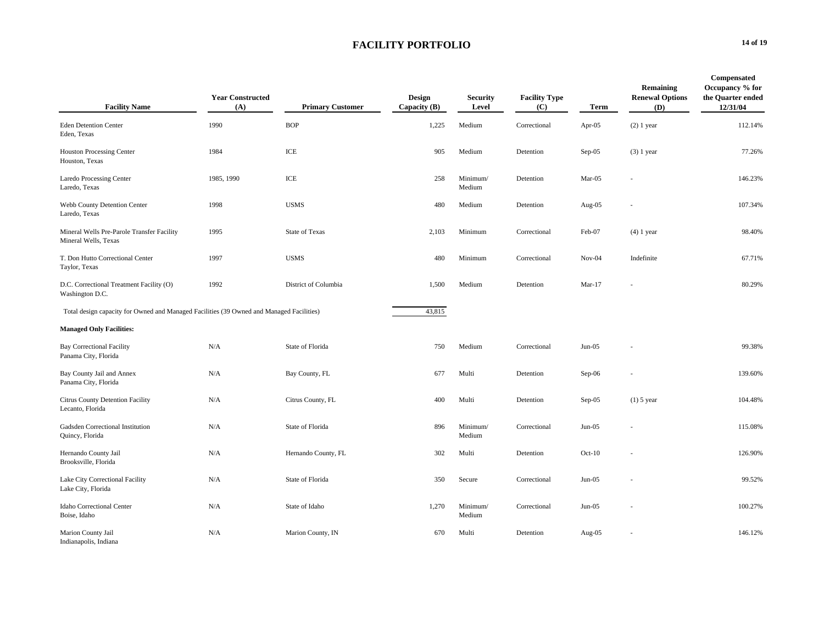| <b>Facility Name</b>                                                                     | <b>Year Constructed</b><br>(A) | <b>Primary Customer</b> | <b>Design</b><br>Capacity (B) | <b>Security</b><br>Level | <b>Facility Type</b><br>(C) | Term     | Remaining<br><b>Renewal Options</b><br>(D) | <b>Compensated</b><br>Occupancy % for<br>the Quarter ended<br>12/31/04 |
|------------------------------------------------------------------------------------------|--------------------------------|-------------------------|-------------------------------|--------------------------|-----------------------------|----------|--------------------------------------------|------------------------------------------------------------------------|
| <b>Eden Detention Center</b><br>Eden, Texas                                              | 1990                           | <b>BOP</b>              | 1,225                         | Medium                   | Correctional                | Apr-05   | $(2)$ 1 year                               | 112.14%                                                                |
| <b>Houston Processing Center</b><br>Houston, Texas                                       | 1984                           | ICE                     | 905                           | Medium                   | Detention                   | Sep-05   | $(3)$ 1 year                               | 77.26%                                                                 |
| <b>Laredo Processing Center</b><br>Laredo, Texas                                         | 1985, 1990                     | ICE                     | 258                           | Minimum/<br>Medium       | Detention                   | Mar-05   |                                            | 146.23%                                                                |
| Webb County Detention Center<br>Laredo, Texas                                            | 1998                           | <b>USMS</b>             | 480                           | Medium                   | Detention                   | Aug-05   |                                            | 107.34%                                                                |
| Mineral Wells Pre-Parole Transfer Facility<br>Mineral Wells, Texas                       | 1995                           | State of Texas          | 2,103                         | Minimum                  | Correctional                | Feb-07   | $(4)$ 1 year                               | 98.40%                                                                 |
| T. Don Hutto Correctional Center<br>Taylor, Texas                                        | 1997                           | <b>USMS</b>             | 480                           | Minimum                  | Correctional                | $Nov-04$ | Indefinite                                 | 67.71%                                                                 |
| D.C. Correctional Treatment Facility (O)<br>Washington D.C.                              | 1992                           | District of Columbia    | 1,500                         | Medium                   | Detention                   | $Mar-17$ |                                            | 80.29%                                                                 |
| Total design capacity for Owned and Managed Facilities (39 Owned and Managed Facilities) |                                |                         | 43,815                        |                          |                             |          |                                            |                                                                        |
| <b>Managed Only Facilities:</b>                                                          |                                |                         |                               |                          |                             |          |                                            |                                                                        |
| <b>Bay Correctional Facility</b><br>Panama City, Florida                                 | N/A                            | State of Florida        | 750                           | Medium                   | Correctional                | $Jun-05$ |                                            | 99.38%                                                                 |
| Bay County Jail and Annex<br>Panama City, Florida                                        | N/A                            | Bay County, FL          | 677                           | Multi                    | Detention                   | Sep-06   |                                            | 139.60%                                                                |
| Citrus County Detention Facility<br>Lecanto, Florida                                     | N/A                            | Citrus County, FL       | 400                           | Multi                    | Detention                   | Sep-05   | $(1)$ 5 year                               | 104.48%                                                                |
| Gadsden Correctional Institution<br>Quincy, Florida                                      | N/A                            | State of Florida        | 896                           | Minimum/<br>Medium       | Correctional                | $Jun-05$ |                                            | 115.08%                                                                |
| Hernando County Jail<br>Brooksville, Florida                                             | N/A                            | Hernando County, FL     | 302                           | Multi                    | Detention                   | $Oct-10$ |                                            | 126.90%                                                                |
| Lake City Correctional Facility<br>Lake City, Florida                                    | N/A                            | State of Florida        | 350                           | Secure                   | Correctional                | $Jun-05$ |                                            | 99.52%                                                                 |
| Idaho Correctional Center<br>Boise, Idaho                                                | N/A                            | State of Idaho          | 1,270                         | Minimum/<br>Medium       | Correctional                | $Jun-05$ |                                            | 100.27%                                                                |
| Marion County Jail<br>Indianapolis, Indiana                                              | N/A                            | Marion County, IN       | 670                           | Multi                    | Detention                   | Aug-05   |                                            | 146.12%                                                                |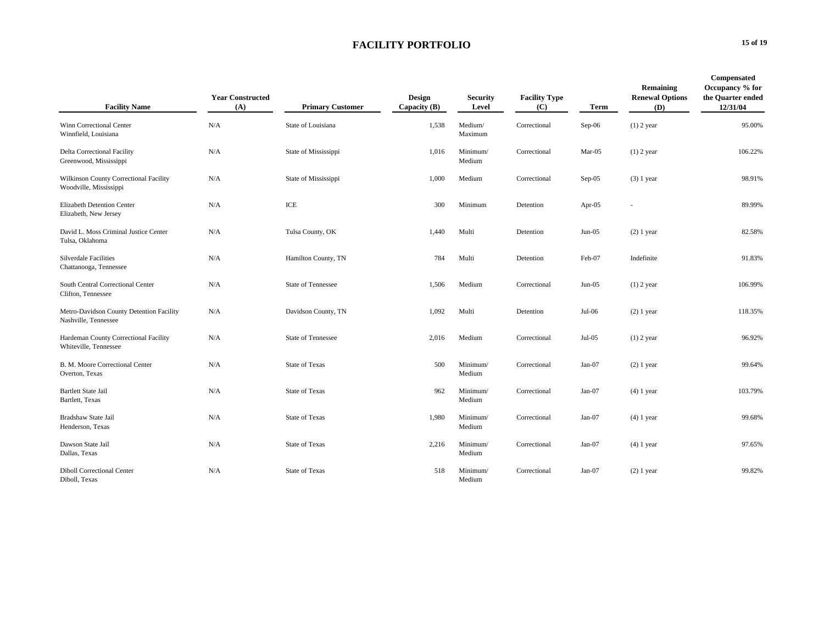| <b>Facility Name</b>                                             | <b>Year Constructed</b><br>(A) | <b>Primary Customer</b>   | <b>Design</b><br>Capacity (B) | <b>Security</b><br>Level | <b>Facility Type</b><br>(C) | Term      | Remaining<br><b>Renewal Options</b><br>(D) | Compensated<br>Occupancy % for<br>the Quarter ended<br>12/31/04 |
|------------------------------------------------------------------|--------------------------------|---------------------------|-------------------------------|--------------------------|-----------------------------|-----------|--------------------------------------------|-----------------------------------------------------------------|
| Winn Correctional Center<br>Winnfield, Louisiana                 | N/A                            | State of Louisiana        | 1,538                         | Medium/<br>Maximum       | Correctional                | Sep-06    | $(1)$ 2 year                               | 95.00%                                                          |
| <b>Delta Correctional Facility</b><br>Greenwood, Mississippi     | N/A                            | State of Mississippi      | 1,016                         | Minimum/<br>Medium       | Correctional                | Mar-05    | $(1)$ 2 year                               | 106.22%                                                         |
| Wilkinson County Correctional Facility<br>Woodville, Mississippi | N/A                            | State of Mississippi      | 1,000                         | Medium                   | Correctional                | Sep-05    | $(3)$ 1 year                               | 98.91%                                                          |
| <b>Elizabeth Detention Center</b><br>Elizabeth, New Jersey       | N/A                            | ICE                       | 300                           | Minimum                  | Detention                   | Apr- $05$ |                                            | 89.99%                                                          |
| David L. Moss Criminal Justice Center<br>Tulsa, Oklahoma         | N/A                            | Tulsa County, OK          | 1,440                         | Multi                    | Detention                   | $Jun-05$  | $(2)$ 1 year                               | 82.58%                                                          |
| <b>Silverdale Facilities</b><br>Chattanooga, Tennessee           | N/A                            | Hamilton County, TN       | 784                           | Multi                    | Detention                   | Feb-07    | Indefinite                                 | 91.83%                                                          |
| South Central Correctional Center<br>Clifton, Tennessee          | N/A                            | State of Tennessee        | 1,506                         | Medium                   | Correctional                | $Jun-05$  | $(1)$ 2 year                               | 106.99%                                                         |
| Metro-Davidson County Detention Facility<br>Nashville, Tennessee | N/A                            | Davidson County, TN       | 1,092                         | Multi                    | Detention                   | Jul-06    | $(2)$ 1 year                               | 118.35%                                                         |
| Hardeman County Correctional Facility<br>Whiteville, Tennessee   | N/A                            | <b>State of Tennessee</b> | 2,016                         | Medium                   | Correctional                | $Jul-05$  | $(1)$ 2 year                               | 96.92%                                                          |
| B. M. Moore Correctional Center<br>Overton, Texas                | N/A                            | <b>State of Texas</b>     | 500                           | Minimum/<br>Medium       | Correctional                | $Jan-07$  | $(2)$ 1 year                               | 99.64%                                                          |
| <b>Bartlett State Jail</b><br>Bartlett, Texas                    | N/A                            | <b>State of Texas</b>     | 962                           | Minimum/<br>Medium       | Correctional                | $Jan-07$  | $(4)$ 1 year                               | 103.79%                                                         |
| Bradshaw State Jail<br>Henderson, Texas                          | N/A                            | <b>State of Texas</b>     | 1,980                         | Minimum/<br>Medium       | Correctional                | $Jan-07$  | $(4)$ 1 year                               | 99.68%                                                          |
| Dawson State Jail<br>Dallas, Texas                               | N/A                            | State of Texas            | 2,216                         | Minimum/<br>Medium       | Correctional                | $Jan-07$  | $(4)$ 1 year                               | 97.65%                                                          |
| <b>Diboll Correctional Center</b><br>Diboll, Texas               | N/A                            | <b>State of Texas</b>     | 518                           | Minimum/<br>Medium       | Correctional                | $Jan-07$  | $(2)$ 1 year                               | 99.82%                                                          |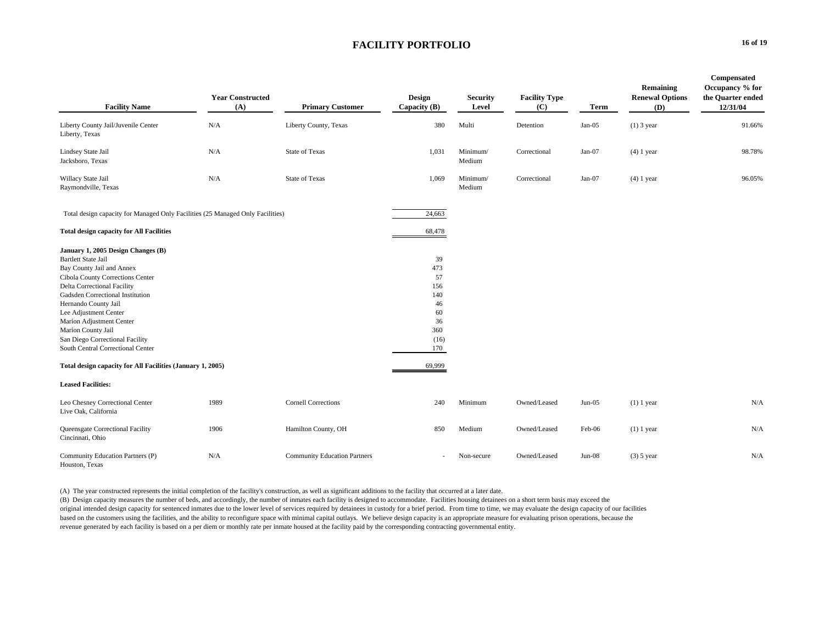| <b>Facility Name</b>                                                                                                                                                                                                                                                                                                                                                            | <b>Year Constructed</b><br>(A) | <b>Primary Customer</b>             | Design<br>Capacity (B)                                                | <b>Security</b><br>Level | <b>Facility Type</b><br>(C) | Term     | Remaining<br><b>Renewal Options</b><br>(D) | Compensated<br>Occupancy % for<br>the Quarter ended<br>12/31/04 |
|---------------------------------------------------------------------------------------------------------------------------------------------------------------------------------------------------------------------------------------------------------------------------------------------------------------------------------------------------------------------------------|--------------------------------|-------------------------------------|-----------------------------------------------------------------------|--------------------------|-----------------------------|----------|--------------------------------------------|-----------------------------------------------------------------|
| Liberty County Jail/Juvenile Center<br>Liberty, Texas                                                                                                                                                                                                                                                                                                                           | N/A                            | Liberty County, Texas               | 380                                                                   | Multi                    | Detention                   | $Jan-05$ | $(1)$ 3 year                               | 91.66%                                                          |
| Lindsey State Jail<br>Jacksboro, Texas                                                                                                                                                                                                                                                                                                                                          | N/A                            | <b>State of Texas</b>               | 1,031                                                                 | Minimum/<br>Medium       | Correctional                | $Jan-07$ | $(4)$ 1 year                               | 98.78%                                                          |
| Willacy State Jail<br>Raymondville, Texas                                                                                                                                                                                                                                                                                                                                       | N/A                            | <b>State of Texas</b>               | 1,069                                                                 | Minimum/<br>Medium       | Correctional                | $Jan-07$ | $(4)$ 1 year                               | 96.05%                                                          |
| Total design capacity for Managed Only Facilities (25 Managed Only Facilities)                                                                                                                                                                                                                                                                                                  |                                |                                     | 24,663                                                                |                          |                             |          |                                            |                                                                 |
| <b>Total design capacity for All Facilities</b>                                                                                                                                                                                                                                                                                                                                 |                                |                                     | 68,478                                                                |                          |                             |          |                                            |                                                                 |
| January 1, 2005 Design Changes (B)<br><b>Bartlett State Jail</b><br>Bay County Jail and Annex<br>Cibola County Corrections Center<br>Delta Correctional Facility<br>Gadsden Correctional Institution<br>Hernando County Jail<br>Lee Adjustment Center<br>Marion Adjustment Center<br>Marion County Jail<br>San Diego Correctional Facility<br>South Central Correctional Center |                                |                                     | 39<br>473<br>57<br>156<br>140<br>46<br>60<br>36<br>360<br>(16)<br>170 |                          |                             |          |                                            |                                                                 |
| Total design capacity for All Facilities (January 1, 2005)                                                                                                                                                                                                                                                                                                                      |                                |                                     | 69,999                                                                |                          |                             |          |                                            |                                                                 |
| <b>Leased Facilities:</b>                                                                                                                                                                                                                                                                                                                                                       |                                |                                     |                                                                       |                          |                             |          |                                            |                                                                 |
| Leo Chesney Correctional Center<br>Live Oak, California                                                                                                                                                                                                                                                                                                                         | 1989                           | <b>Cornell Corrections</b>          | 240                                                                   | Minimum                  | Owned/Leased                | $Jun-05$ | $(1)$ 1 year                               | N/A                                                             |
| Queensgate Correctional Facility<br>Cincinnati, Ohio                                                                                                                                                                                                                                                                                                                            | 1906                           | Hamilton County, OH                 | 850                                                                   | Medium                   | Owned/Leased                | Feb-06   | $(1)$ 1 year                               | N/A                                                             |
| Community Education Partners (P)<br>Houston, Texas                                                                                                                                                                                                                                                                                                                              | N/A                            | <b>Community Education Partners</b> |                                                                       | Non-secure               | Owned/Leased                | $Jun-08$ | $(3)$ 5 year                               | N/A                                                             |

(A) The year constructed represents the initial completion of the facility's construction, as well as significant additions to the facility that occurred at a later date.

(B) Design capacity measures the number of beds, and accordingly, the number of inmates each facility is designed to accommodate. Facilities housing detainees on a short term basis may exceed the original intended design capacity for sentenced inmates due to the lower level of services required by detainees in custody for a brief period. From time to time, we may evaluate the design capacity of our facilities based on the customers using the facilities, and the ability to reconfigure space with minimal capital outlays. We believe design capacity is an appropriate measure for evaluating prison operations, because the revenue generated by each facility is based on a per diem or monthly rate per inmate housed at the facility paid by the corresponding contracting governmental entity.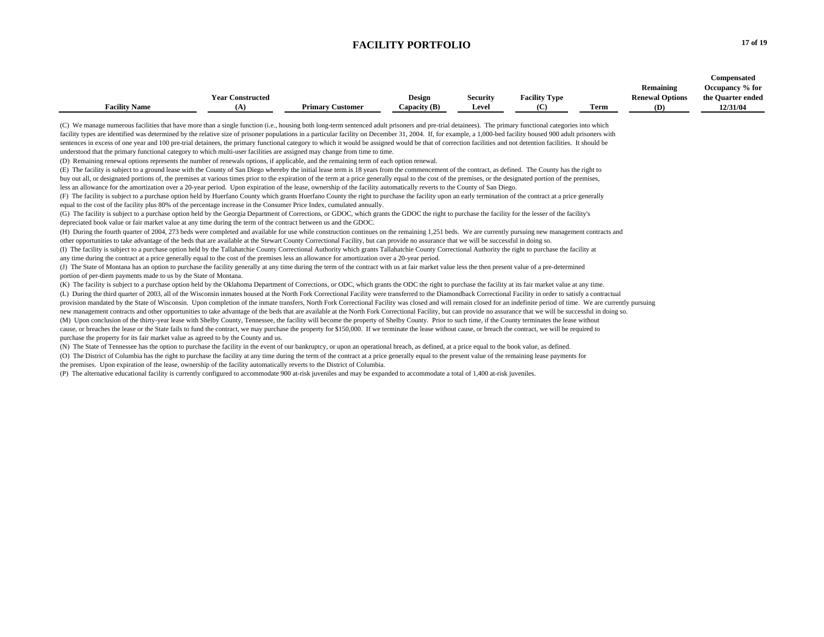|                      |                         |                         |                |                 |                      |      |                        | Compensated       |
|----------------------|-------------------------|-------------------------|----------------|-----------------|----------------------|------|------------------------|-------------------|
|                      |                         |                         |                |                 |                      |      | Remaining              | Occupancy % for   |
|                      | <b>Year Constructed</b> |                         | <b>Design</b>  | <b>Security</b> | <b>Facility Type</b> |      | <b>Renewal Options</b> | the Quarter ended |
| <b>Facility Name</b> | (A)                     | <b>Primary Customer</b> | Capacity $(B)$ | Level           | (C)                  | Term | (D)                    | 12/31/04          |
|                      |                         |                         |                |                 |                      |      |                        |                   |

(C) We manage numerous facilities that have more than a single function (i.e., housing both long-term sentenced adult prisoners and pre-trial detainees). The primary functional categories into which facility types are identified was determined by the relative size of prisoner populations in a particular facility on December 31, 2004. If, for example, a 1,000-bed facility housed 900 adult prisoners with sentences in excess of one year and 100 pre-trial detainees, the primary functional category to which it would be assigned would be that of correction facilities and not detention facilities. It should be understood that the primary functional category to which multi-user facilities are assigned may change from time to time.

(D) Remaining renewal options represents the number of renewals options, if applicable, and the remaining term of each option renewal.

(E) The facility is subject to a ground lease with the County of San Diego whereby the initial lease term is 18 years from the commencement of the contract, as defined. The County has the right to buy out all, or designated portions of, the premises at various times prior to the expiration of the term at a price generally equal to the cost of the premises, or the designated portion of the premises, less an allowance for the amortization over a 20-year period. Upon expiration of the lease, ownership of the facility automatically reverts to the County of San Diego.

(F) The facility is subject to a purchase option held by Huerfano County which grants Huerfano County the right to purchase the facility upon an early termination of the contract at a price generally equal to the cost of the facility plus 80% of the percentage increase in the Consumer Price Index, cumulated annually.

(G) The facility is subject to a purchase option held by the Georgia Department of Corrections, or GDOC, which grants the GDOC the right to purchase the facility for the lesser of the facility's depreciated book value or fair market value at any time during the term of the contract between us and the GDOC.

(H) During the fourth quarter of 2004, 273 beds were completed and available for use while construction continues on the remaining 1,251 beds. We are currently pursuing new management contracts and other opportunities to take advantage of the beds that are available at the Stewart County Correctional Facility, but can provide no assurance that we will be successful in doing so.

(I) The facility is subject to a purchase option held by the Tallahatchie County Correctional Authority which grants Tallahatchie County Correctional Authority the right to purchase the facility at any time during the contract at a price generally equal to the cost of the premises less an allowance for amortization over a 20-year period.

(J) The State of Montana has an option to purchase the facility generally at any time during the term of the contract with us at fair market value less the then present value of a pre-determined portion of per-diem payments made to us by the State of Montana.

(K) The facility is subject to a purchase option held by the Oklahoma Department of Corrections, or ODC, which grants the ODC the right to purchase the facility at its fair market value at any time.

(L) During the third quarter of 2003, all of the Wisconsin inmates housed at the North Fork Correctional Facility were transferred to the Diamondback Correctional Facility in order to satisfy a contractual provision mandated by the State of Wisconsin. Upon completion of the inmate transfers, North Fork Correctional Facility was closed and will remain closed for an indefinite period of time. We are currently pursuing new management contracts and other opportunities to take advantage of the beds that are available at the North Fork Correctional Facility, but can provide no assurance that we will be successful in doing so.

(M) Upon conclusion of the thirty-year lease with Shelby County, Tennessee, the facility will become the property of Shelby County. Prior to such time, if the County terminates the lease without cause, or breaches the lease or the State fails to fund the contract, we may purchase the property for \$150,000. If we terminate the lease without cause, or breach the contract, we will be required to purchase the property for its fair market value as agreed to by the County and us.

(N) The State of Tennessee has the option to purchase the facility in the event of our bankruptcy, or upon an operational breach, as defined, at a price equal to the book value, as defined. (O) The District of Columbia has the right to purchase the facility at any time during the term of the contract at a price generally equal to the present value of the remaining lease payments for the premises. Upon expiration of the lease, ownership of the facility automatically reverts to the District of Columbia.

(P) The alternative educational facility is currently configured to accommodate 900 at-risk juveniles and may be expanded to accommodate a total of 1,400 at-risk juveniles.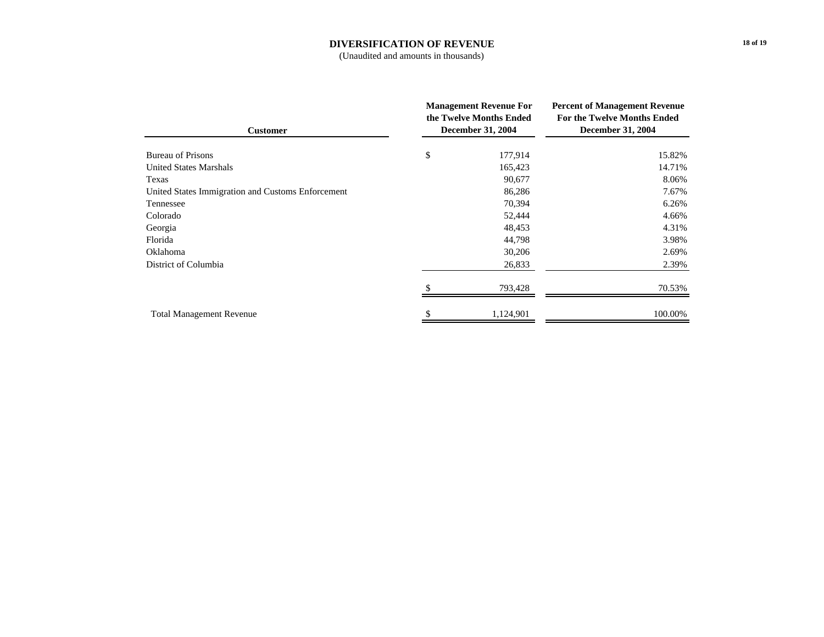#### **DIVERSIFICATION OF REVENUE**

(Unaudited and amounts in thousands)

| <b>Customer</b>                                   | <b>Management Revenue For</b><br>the Twelve Months Ended<br><b>December 31, 2004</b> | <b>Percent of Management Revenue</b><br>For the Twelve Months Ended<br><b>December 31, 2004</b> |
|---------------------------------------------------|--------------------------------------------------------------------------------------|-------------------------------------------------------------------------------------------------|
| <b>Bureau of Prisons</b>                          | \$<br>177,914                                                                        | 15.82%                                                                                          |
| <b>United States Marshals</b>                     | 165,423                                                                              | 14.71%                                                                                          |
| Texas                                             | 90,677                                                                               | 8.06%                                                                                           |
| United States Immigration and Customs Enforcement | 86,286                                                                               | 7.67%                                                                                           |
| Tennessee                                         | 70,394                                                                               | 6.26%                                                                                           |
| Colorado                                          | 52,444                                                                               | 4.66%                                                                                           |
| Georgia                                           | 48,453                                                                               | 4.31%                                                                                           |
| Florida                                           | 44,798                                                                               | 3.98%                                                                                           |
| Oklahoma                                          | 30,206                                                                               | 2.69%                                                                                           |
| District of Columbia                              | 26,833                                                                               | 2.39%                                                                                           |
|                                                   | 793,428                                                                              | 70.53%                                                                                          |
| <b>Total Management Revenue</b>                   | 1,124,901                                                                            | 100.00%                                                                                         |